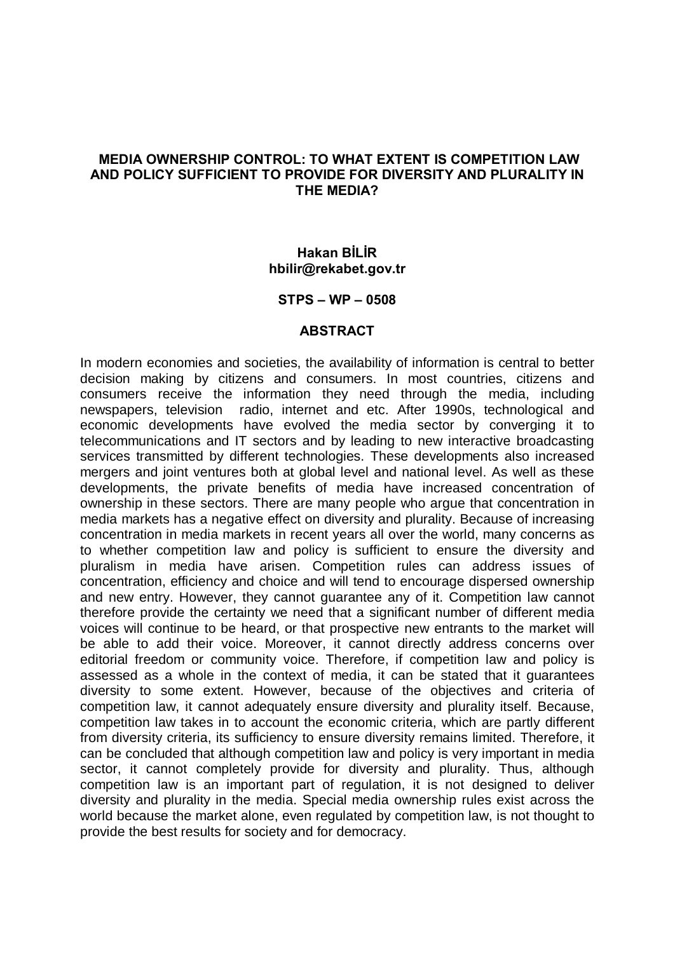#### MEDIA OWNERSHIP CONTROL: TO WHAT EXTENT IS COMPETITION LAW AND POLICY SUFFICIENT TO PROVIDE FOR DIVERSITY AND PLURALITY IN THE MEDIA?

#### **Hakan BİLİR** [hbilir@rekabet.gov.tr](mailto:hbilir@rekabet.gov.tr)

#### $STPS - WP - 0508$

#### ABSTRACT

In modern economies and societies, the availability of information is central to better decision making by citizens and consumers. In most countries, citizens and consumers receive the information they need through the media, including newspapers, television radio, internet and etc. After 1990s, technological and economic developments have evolved the media sector by converging it to telecommunications and IT sectors and by leading to new interactive broadcasting services transmitted by different technologies. These developments also increased mergers and joint ventures both at global level and national level. As well as these developments, the private benefits of media have increased concentration of ownership in these sectors. There are many people who argue that concentration in media markets has a negative effect on diversity and plurality. Because of increasing concentration in media markets in recent years all over the world, many concerns as to whether competition law and policy is sufficient to ensure the diversity and pluralism in media have arisen. Competition rules can address issues of concentration, efficiency and choice and will tend to encourage dispersed ownership and new entry. However, they cannot guarantee any of it. Competition law cannot therefore provide the certainty we need that a significant number of different media voices will continue to be heard, or that prospective new entrants to the market will be able to add their voice. Moreover, it cannot directly address concerns over editorial freedom or community voice. Therefore, if competition law and policy is assessed as a whole in the context of media, it can be stated that it guarantees diversity to some extent. However, because of the objectives and criteria of competition law, it cannot adequately ensure diversity and plurality itself. Because, competition law takes in to account the economic criteria, which are partly different from diversity criteria, its sufficiency to ensure diversity remains limited. Therefore, it can be concluded that although competition law and policy is very important in media sector, it cannot completely provide for diversity and plurality. Thus, although competition law is an important part of regulation, it is not designed to deliver diversity and plurality in the media. Special media ownership rules exist across the world because the market alone, even regulated by competition law, is not thought to provide the best results for society and for democracy.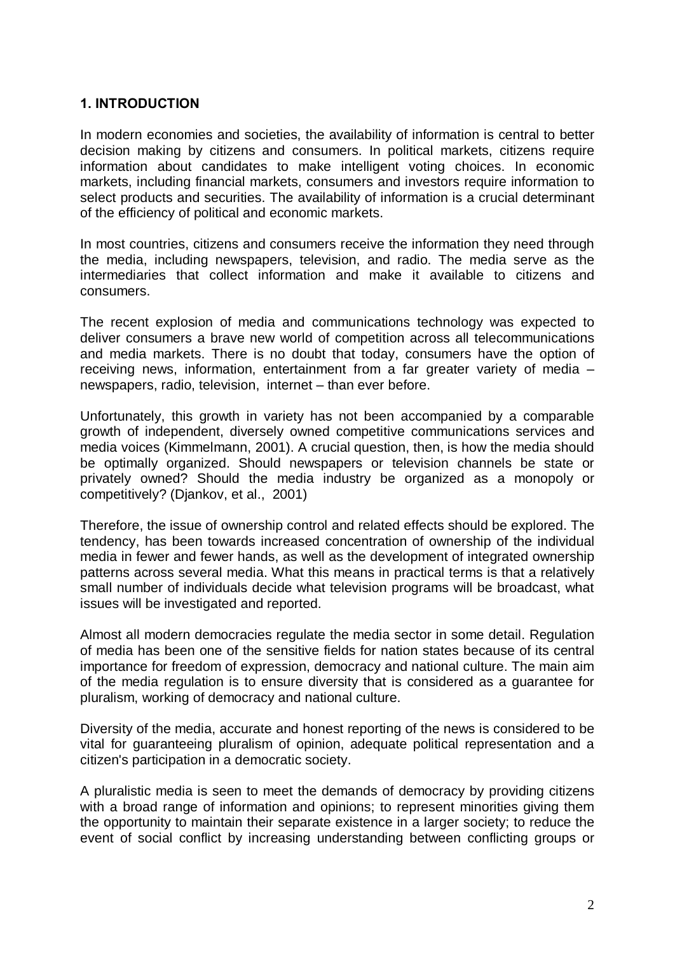### 1. INTRODUCTION

In modern economies and societies, the availability of information is central to better decision making by citizens and consumers. In political markets, citizens require information about candidates to make intelligent voting choices. In economic markets, including financial markets, consumers and investors require information to select products and securities. The availability of information is a crucial determinant of the efficiency of political and economic markets.

In most countries, citizens and consumers receive the information they need through the media, including newspapers, television, and radio. The media serve as the intermediaries that collect information and make it available to citizens and consumers.

The recent explosion of media and communications technology was expected to deliver consumers a brave new world of competition across all telecommunications and media markets. There is no doubt that today, consumers have the option of receiving news, information, entertainment from a far greater variety of media  $$ newspapers, radio, television, internet – than ever before.

Unfortunately, this growth in variety has not been accompanied by a comparable growth of independent, diversely owned competitive communications services and media voices (Kimmelmann, 2001). A crucial question, then, is how the media should be optimally organized. Should newspapers or television channels be state or privately owned? Should the media industry be organized as a monopoly or competitively? (Djankov, et al., 2001)

Therefore, the issue of ownership control and related effects should be explored. The tendency, has been towards increased concentration of ownership of the individual media in fewer and fewer hands, as well as the development of integrated ownership patterns across several media. What this means in practical terms is that a relatively small number of individuals decide what television programs will be broadcast, what issues will be investigated and reported.

Almost all modern democracies regulate the media sector in some detail. Regulation of media has been one of the sensitive fields for nation states because of its central importance for freedom of expression, democracy and national culture. The main aim of the media regulation is to ensure diversity that is considered as a guarantee for pluralism, working of democracy and national culture.

Diversity of the media, accurate and honest reporting of the news is considered to be vital for guaranteeing pluralism of opinion, adequate political representation and a citizen's participation in a democratic society.

A pluralistic media is seen to meet the demands of democracy by providing citizens with a broad range of information and opinions; to represent minorities giving them the opportunity to maintain their separate existence in a larger society; to reduce the event of social conflict by increasing understanding between conflicting groups or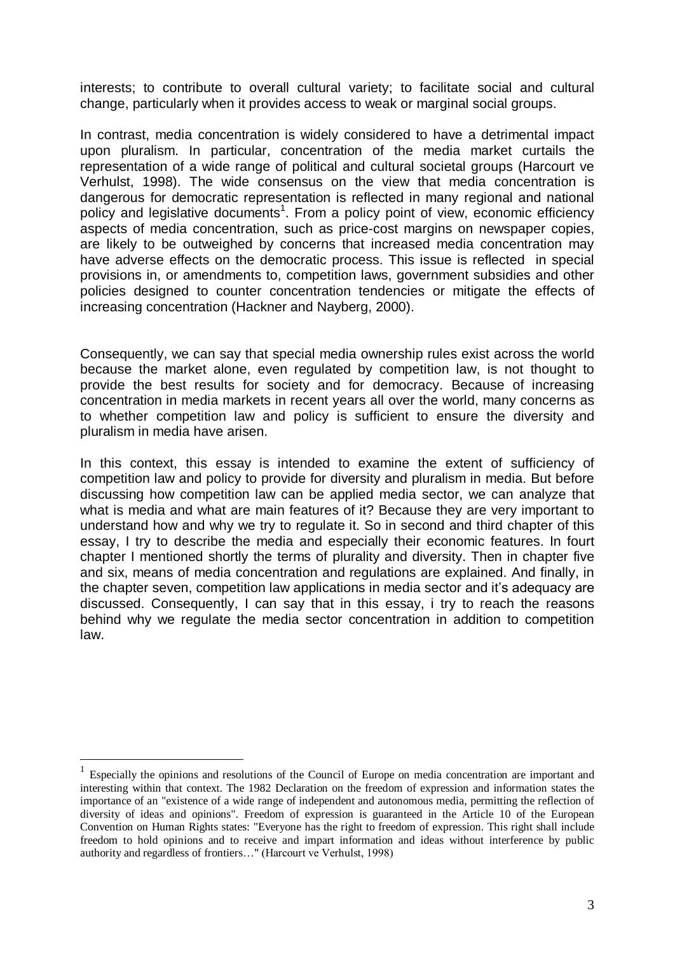interests; to contribute to overall cultural variety; to facilitate social and cultural change, particularly when it provides access to weak or marginal social groups.

In contrast, media concentration is widely considered to have a detrimental impact upon pluralism. In particular, concentration of the media market curtails the representation of a wide range of political and cultural societal groups (Harcourt ve Verhulst, 1998). The wide consensus on the view that media concentration is dangerous for democratic representation is reflected in many regional and national policy and legislative documents<sup>1</sup>. From a policy point of view, economic efficiency aspects of media concentration, such as price-cost margins on newspaper copies, are likely to be outweighed by concerns that increased media concentration may have adverse effects on the democratic process. This issue is reflected in special provisions in, or amendments to, competition laws, government subsidies and other policies designed to counter concentration tendencies or mitigate the effects of increasing concentration (Hackner and Nayberg, 2000).

Consequently, we can say that special media ownership rules exist across the world because the market alone, even regulated by competition law, is not thought to provide the best results for society and for democracy. Because of increasing concentration in media markets in recent years all over the world, many concerns as to whether competition law and policy is sufficient to ensure the diversity and pluralism in media have arisen.

In this context, this essay is intended to examine the extent of sufficiency of competition law and policy to provide for diversity and pluralism in media. But before discussing how competition law can be applied media sector, we can analyze that what is media and what are main features of it? Because they are very important to understand how and why we try to regulate it. So in second and third chapter of this essay, I try to describe the media and especially their economic features. In fourt chapter I mentioned shortly the terms of plurality and diversity. Then in chapter five and six, means of media concentration and regulations are explained. And finally, in the chapter seven, competition law applications in media sector and it's adequacy are discussed. Consequently, I can say that in this essay, i try to reach the reasons behind why we regulate the media sector concentration in addition to competition law.

<sup>1</sup> Especially the opinions and resolutions of the Council of Europe on media concentration are important and interesting within that context. The 1982 Declaration on the freedom of expression and information states the importance of an "existence of a wide range of independent and autonomous media, permitting the reflection of diversity of ideas and opinions". Freedom of expression is guaranteed in the Article 10 of the European Convention on Human Rights states: "Everyone has the right to freedom of expression. This right shall include freedom to hold opinions and to receive and impart information and ideas without interference by public authority and regardless of frontiers..." (Harcourt ve Verhulst, 1998)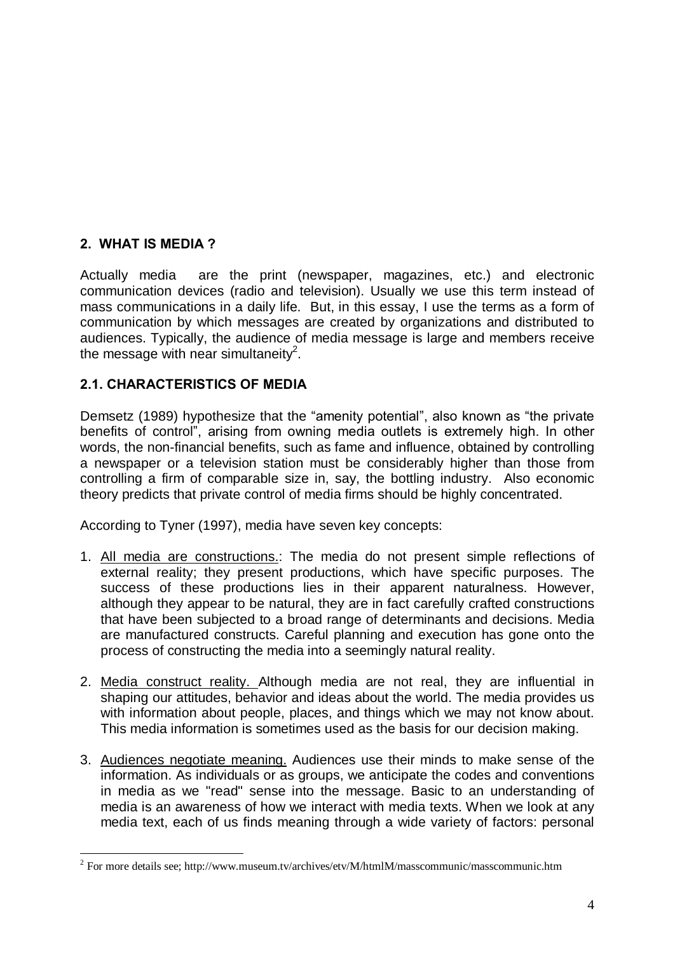# 2. WHAT IS MEDIA ?

Actually media are the print (newspaper, magazines, etc.) and electronic communication devices (radio and television). Usually we use this term instead of mass communications in a daily life. But, in this essay, I use the terms as a form of communication by which messages are created by organizations and distributed to audiences. Typically, the audience of media message is large and members receive the message with near simultaneity<sup>2</sup>.

## 2.1. CHARACTERISTICS OF MEDIA

Demsetz (1989) hypothesize that the "amenity potential", also known as "the private benefits of controlî, arising from owning media outlets is extremely high. In other words, the non-financial benefits, such as fame and influence, obtained by controlling a newspaper or a television station must be considerably higher than those from controlling a firm of comparable size in, say, the bottling industry. Also economic theory predicts that private control of media firms should be highly concentrated.

According to Tyner (1997), media have seven key concepts:

- 1. All media are constructions.: The media do not present simple reflections of external reality; they present productions, which have specific purposes. The success of these productions lies in their apparent naturalness. However, although they appear to be natural, they are in fact carefully crafted constructions that have been subjected to a broad range of determinants and decisions. Media are manufactured constructs. Careful planning and execution has gone onto the process of constructing the media into a seemingly natural reality.
- 2. Media construct reality. Although media are not real, they are influential in shaping our attitudes, behavior and ideas about the world. The media provides us with information about people, places, and things which we may not know about. This media information is sometimes used as the basis for our decision making.
- 3. Audiences negotiate meaning. Audiences use their minds to make sense of the information. As individuals or as groups, we anticipate the codes and conventions in media as we "read" sense into the message. Basic to an understanding of media is an awareness of how we interact with media texts. When we look at any media text, each of us finds meaning through a wide variety of factors: personal

<sup>2</sup> For more details see; <http://www.museum.tv/archives/etv/M/htmlM/masscommunic/masscommunic.htm>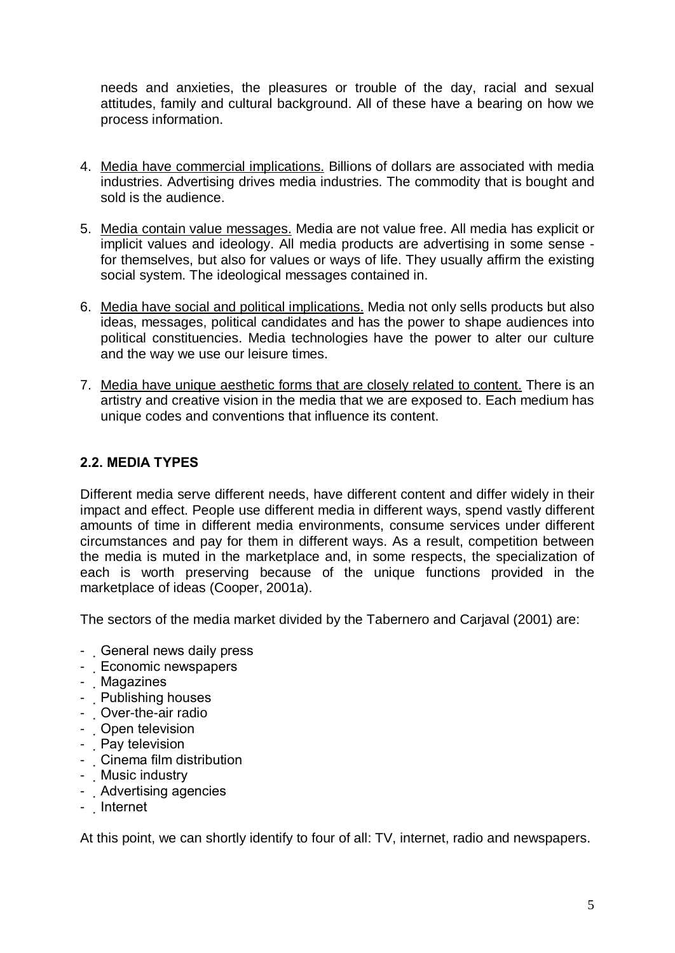needs and anxieties, the pleasures or trouble of the day, racial and sexual attitudes, family and cultural background. All of these have a bearing on how we process information.

- 4. Media have commercial implications. Billions of dollars are associated with media industries. Advertising drives media industries. The commodity that is bought and sold is the audience.
- 5. Media contain value messages. Media are not value free. All media has explicit or implicit values and ideology. All media products are advertising in some sense for themselves, but also for values or ways of life. They usually affirm the existing social system. The ideological messages contained in.
- 6. Media have social and political implications. Media not only sells products but also ideas, messages, political candidates and has the power to shape audiences into political constituencies. Media technologies have the power to alter our culture and the way we use our leisure times.
- 7. Media have unique aesthetic forms that are closely related to content. There is an artistry and creative vision in the media that we are exposed to. Each medium has unique codes and conventions that influence its content.

# 2.2. MEDIA TYPES

Different media serve different needs, have different content and differ widely in their impact and effect. People use different media in different ways, spend vastly different amounts of time in different media environments, consume services under different circumstances and pay for them in different ways. As a result, competition between the media is muted in the marketplace and, in some respects, the specialization of each is worth preserving because of the unique functions provided in the marketplace of ideas (Cooper, 2001a).

The sectors of the media market divided by the Tabernero and Carjaval (2001) are:

- General news daily press
- Economic newspapers
- Magazines
- Publishing houses
- Over-the-air radio
- Open television
- Pay television
- Cinema film distribution
- Music industry
- Advertising agencies
- Internet

At this point, we can shortly identify to four of all: TV, internet, radio and newspapers.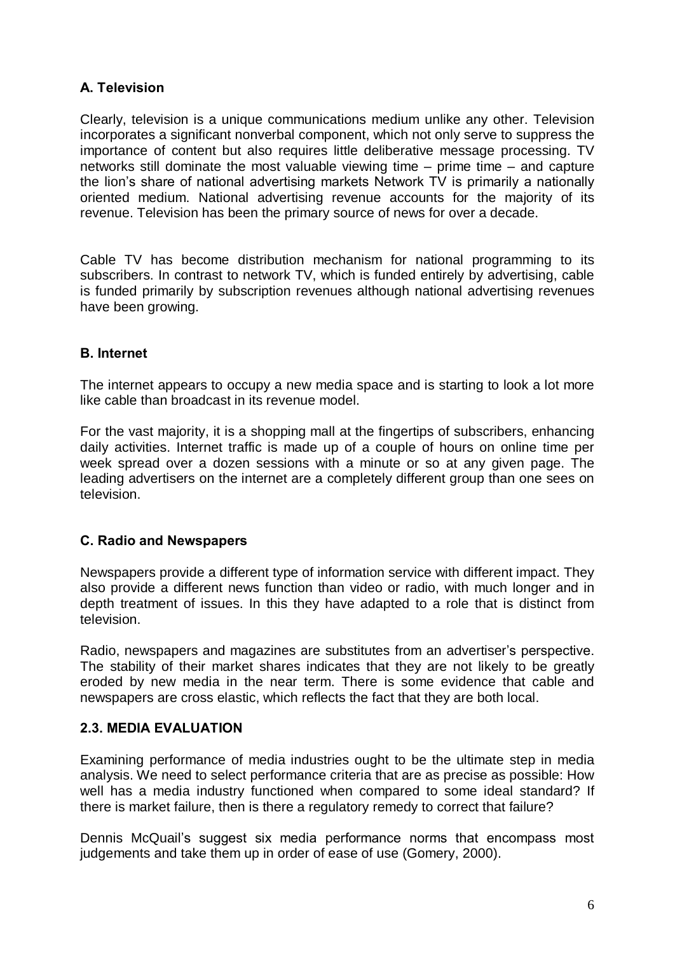# A. Television

Clearly, television is a unique communications medium unlike any other. Television incorporates a significant nonverbal component, which not only serve to suppress the importance of content but also requires little deliberative message processing. TV networks still dominate the most valuable viewing time  $-$  prime time  $-$  and capture the lion's share of national advertising markets Network TV is primarily a nationally oriented medium. National advertising revenue accounts for the majority of its revenue. Television has been the primary source of news for over a decade.

Cable TV has become distribution mechanism for national programming to its subscribers. In contrast to network TV, which is funded entirely by advertising, cable is funded primarily by subscription revenues although national advertising revenues have been growing.

### B. Internet

The internet appears to occupy a new media space and is starting to look a lot more like cable than broadcast in its revenue model.

For the vast majority, it is a shopping mall at the fingertips of subscribers, enhancing daily activities. Internet traffic is made up of a couple of hours on online time per week spread over a dozen sessions with a minute or so at any given page. The leading advertisers on the internet are a completely different group than one sees on television.

#### C. Radio and Newspapers

Newspapers provide a different type of information service with different impact. They also provide a different news function than video or radio, with much longer and in depth treatment of issues. In this they have adapted to a role that is distinct from television.

Radio, newspapers and magazines are substitutes from an advertiser's perspective. The stability of their market shares indicates that they are not likely to be greatly eroded by new media in the near term. There is some evidence that cable and newspapers are cross elastic, which reflects the fact that they are both local.

#### 2.3. MEDIA EVALUATION

Examining performance of media industries ought to be the ultimate step in media analysis. We need to select performance criteria that are as precise as possible: How well has a media industry functioned when compared to some ideal standard? If there is market failure, then is there a regulatory remedy to correct that failure?

Dennis McQuail's suggest six media performance norms that encompass most judgements and take them up in order of ease of use (Gomery, 2000).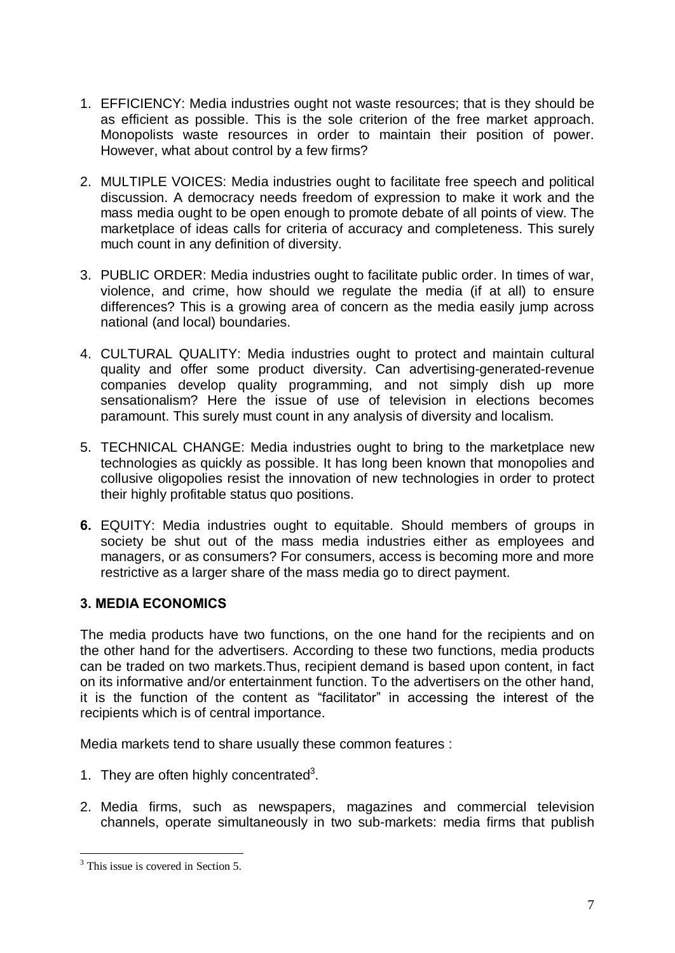- 1. EFFICIENCY: Media industries ought not waste resources; that is they should be as efficient as possible. This is the sole criterion of the free market approach. Monopolists waste resources in order to maintain their position of power. However, what about control by a few firms?
- 2. MULTIPLE VOICES: Media industries ought to facilitate free speech and political discussion. A democracy needs freedom of expression to make it work and the mass media ought to be open enough to promote debate of all points of view. The marketplace of ideas calls for criteria of accuracy and completeness. This surely much count in any definition of diversity.
- 3. PUBLIC ORDER: Media industries ought to facilitate public order. In times of war, violence, and crime, how should we regulate the media (if at all) to ensure differences? This is a growing area of concern as the media easily jump across national (and local) boundaries.
- 4. CULTURAL QUALITY: Media industries ought to protect and maintain cultural quality and offer some product diversity. Can advertising-generated-revenue companies develop quality programming, and not simply dish up more sensationalism? Here the issue of use of television in elections becomes paramount. This surely must count in any analysis of diversity and localism.
- 5. TECHNICAL CHANGE: Media industries ought to bring to the marketplace new technologies as quickly as possible. It has long been known that monopolies and collusive oligopolies resist the innovation of new technologies in order to protect their highly profitable status quo positions.
- 6. EQUITY: Media industries ought to equitable. Should members of groups in society be shut out of the mass media industries either as employees and managers, or as consumers? For consumers, access is becoming more and more restrictive as a larger share of the mass media go to direct payment.

### 3. MEDIA ECONOMICS

The media products have two functions, on the one hand for the recipients and on the other hand for the advertisers. According to these two functions, media products can be traded on two markets.Thus, recipient demand is based upon content, in fact on its informative and/or entertainment function. To the advertisers on the other hand, it is the function of the content as "facilitator" in accessing the interest of the recipients which is of central importance.

Media markets tend to share usually these common features :

- 1. They are often highly concentrated $3$ .
- 2. Media firms, such as newspapers, magazines and commercial television channels, operate simultaneously in two sub-markets: media firms that publish

<sup>&</sup>lt;sup>3</sup> This issue is covered in Section 5.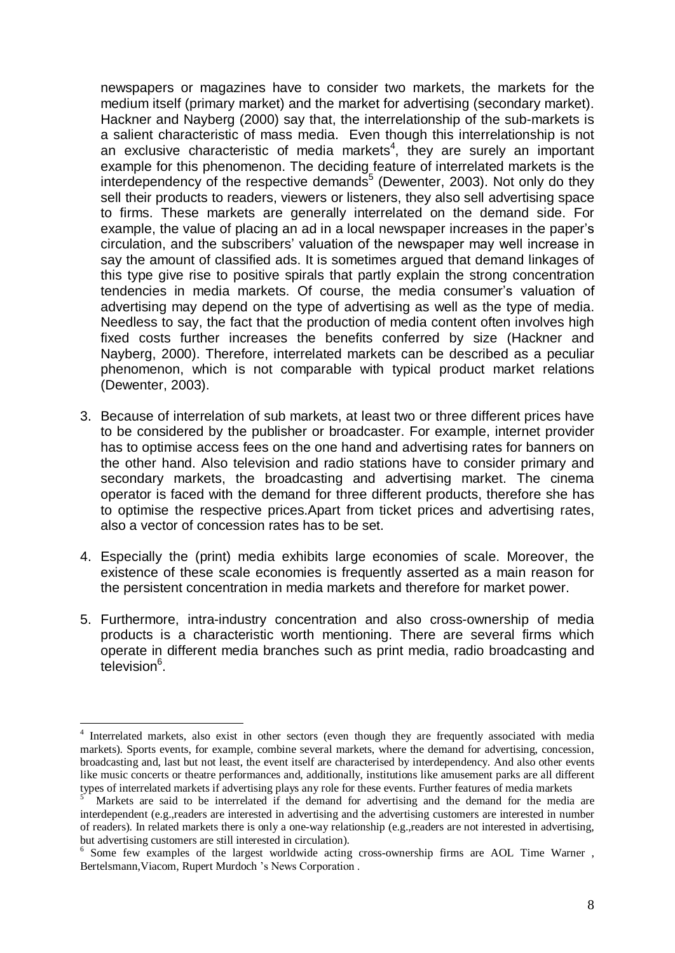newspapers or magazines have to consider two markets, the markets for the medium itself (primary market) and the market for advertising (secondary market). Hackner and Nayberg (2000) say that, the interrelationship of the sub-markets is a salient characteristic of mass media. Even though this interrelationship is not an exclusive characteristic of media markets 4 , they are surely an important example for this phenomenon. The deciding feature of interrelated markets is the interdependency of the respective demands<sup>5</sup> (Dewenter, 2003). Not only do they sell their products to readers, viewers or listeners, they also sell advertising space to firms. These markets are generally interrelated on the demand side. For example, the value of placing an ad in a local newspaper increases in the paperís circulation, and the subscribers' valuation of the newspaper may well increase in say the amount of classified ads. It is sometimes argued that demand linkages of this type give rise to positive spirals that partly explain the strong concentration tendencies in media markets. Of course, the media consumer's valuation of advertising may depend on the type of advertising as well as the type of media. Needless to say, the fact that the production of media content often involves high fixed costs further increases the benefits conferred by size (Hackner and Nayberg, 2000). Therefore, interrelated markets can be described as a peculiar phenomenon, which is not comparable with typical product market relations (Dewenter, 2003).

- 3. Because of interrelation of sub markets, at least two or three different prices have to be considered by the publisher or broadcaster. For example, internet provider has to optimise access fees on the one hand and advertising rates for banners on the other hand. Also television and radio stations have to consider primary and secondary markets, the broadcasting and advertising market. The cinema operator is faced with the demand for three different products, therefore she has to optimise the respective prices.Apart from ticket prices and advertising rates, also a vector of concession rates has to be set.
- 4. Especially the (print) media exhibits large economies of scale. Moreover, the existence of these scale economies is frequently asserted as a main reason for the persistent concentration in media markets and therefore for market power.
- 5. Furthermore, intra-industry concentration and also cross-ownership of media products is a characteristic worth mentioning. There are several firms which operate in different media branches such as print media, radio broadcasting and television<sup>6</sup>.

<sup>&</sup>lt;sup>4</sup> Interrelated markets, also exist in other sectors (even though they are frequently associated with media markets). Sports events, for example, combine several markets, where the demand for advertising, concession, broadcasting and, last but not least, the event itself are characterised by interdependency. And also other events like music concerts or theatre performances and, additionally, institutions like amusement parks are all different types of interrelated markets if advertising plays any role for these events. Further features of media markets

Markets are said to be interrelated if the demand for advertising and the demand for the media are interdependent (e.g.,readers are interested in advertising and the advertising customers are interested in number of readers). In related markets there is only a one-way relationship (e.g.,readers are not interested in advertising,

 $6$  Some few examples of the largest worldwide acting cross-ownership firms are AOL Time Warner , Bertelsmann, Viacom, Rupert Murdoch 's News Corporation.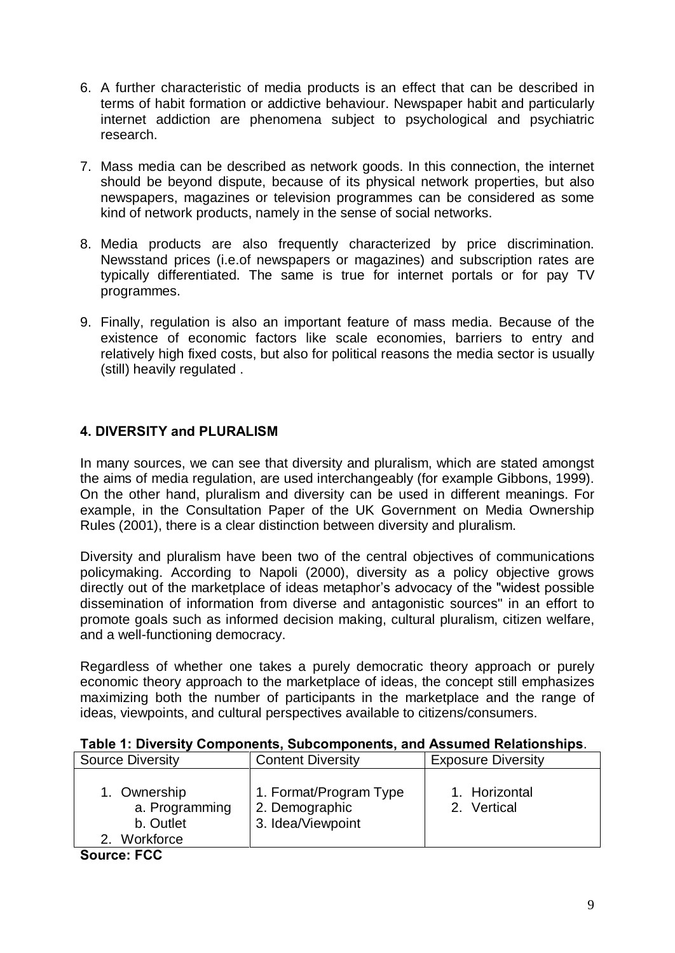- 6. A further characteristic of media products is an effect that can be described in terms of habit formation or addictive behaviour. Newspaper habit and particularly internet addiction are phenomena subject to psychological and psychiatric research.
- 7. Mass media can be described as network goods. In this connection, the internet should be beyond dispute, because of its physical network properties, but also newspapers, magazines or television programmes can be considered as some kind of network products, namely in the sense of social networks.
- 8. Media products are also frequently characterized by price discrimination. Newsstand prices (i.e.of newspapers or magazines) and subscription rates are typically differentiated. The same is true for internet portals or for pay TV programmes.
- 9. Finally, regulation is also an important feature of mass media. Because of the existence of economic factors like scale economies, barriers to entry and relatively high fixed costs, but also for political reasons the media sector is usually (still) heavily regulated .

### 4. DIVERSITY and PLURALISM

In many sources, we can see that diversity and pluralism, which are stated amongst the aims of media regulation, are used interchangeably (for example Gibbons, 1999). On the other hand, pluralism and diversity can be used in different meanings. For example, in the Consultation Paper of the UK Government on Media Ownership Rules (2001), there is a clear distinction between diversity and pluralism.

Diversity and pluralism have been two of the central objectives of communications policymaking. According to Napoli (2000), diversity as a policy objective grows directly out of the marketplace of ideas metaphor's advocacy of the "widest possible" dissemination of information from diverse and antagonistic sources" in an effort to promote goals such as informed decision making, cultural pluralism, citizen welfare, and a well-functioning democracy.

Regardless of whether one takes a purely democratic theory approach or purely economic theory approach to the marketplace of ideas, the concept still emphasizes maximizing both the number of participants in the marketplace and the range of ideas, viewpoints, and cultural perspectives available to citizens/consumers.

| <b>Source Diversity</b>                                  | <b>Content Diversity</b>                                      | <b>Exposure Diversity</b>    |
|----------------------------------------------------------|---------------------------------------------------------------|------------------------------|
| 1. Ownership<br>a. Programming<br>b. Outlet<br>Workforce | 1. Format/Program Type<br>2. Demographic<br>3. Idea/Viewpoint | 1. Horizontal<br>2. Vertical |

#### Table 1: Diversity Components, Subcomponents, and Assumed Relationships.

Source: FCC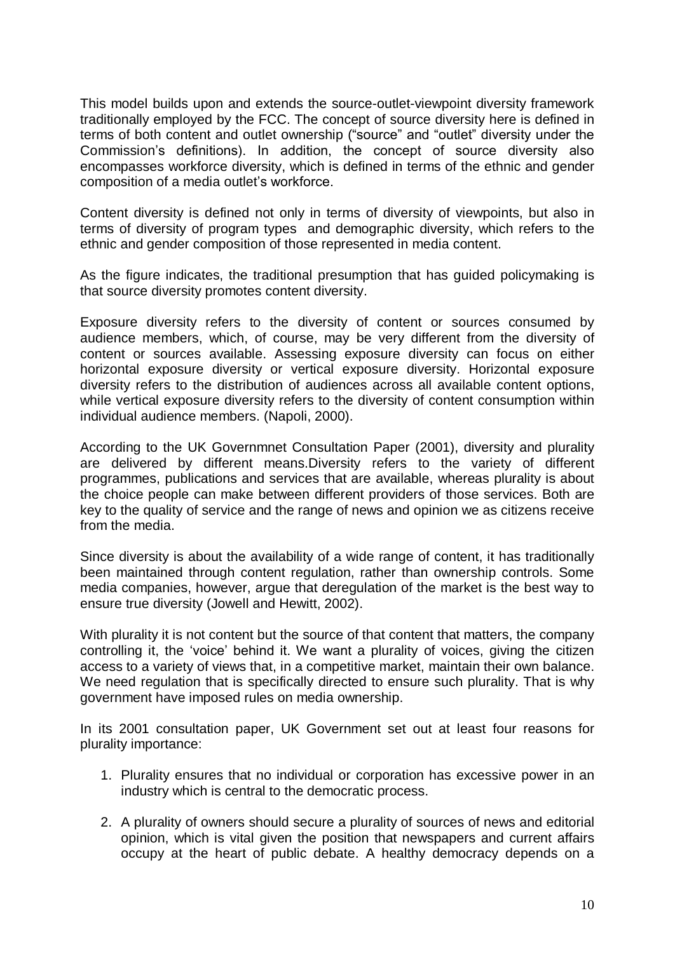This model builds upon and extends the source-outlet-viewpoint diversity framework traditionally employed by the FCC. The concept of source diversity here is defined in terms of both content and outlet ownership ("source" and "outlet" diversity under the Commission's definitions). In addition, the concept of source diversity also encompasses workforce diversity, which is defined in terms of the ethnic and gender composition of a media outlet's workforce.

Content diversity is defined not only in terms of diversity of viewpoints, but also in terms of diversity of program types and demographic diversity, which refers to the ethnic and gender composition of those represented in media content.

As the figure indicates, the traditional presumption that has guided policymaking is that source diversity promotes content diversity.

Exposure diversity refers to the diversity of content or sources consumed by audience members, which, of course, may be very different from the diversity of content or sources available. Assessing exposure diversity can focus on either horizontal exposure diversity or vertical exposure diversity. Horizontal exposure diversity refers to the distribution of audiences across all available content options, while vertical exposure diversity refers to the diversity of content consumption within individual audience members. (Napoli, 2000).

According to the UK Governmnet Consultation Paper (2001), diversity and plurality are delivered by different means.Diversity refers to the variety of different programmes, publications and services that are available, whereas plurality is about the choice people can make between different providers of those services. Both are key to the quality of service and the range of news and opinion we as citizens receive from the media.

Since diversity is about the availability of a wide range of content, it has traditionally been maintained through content regulation, rather than ownership controls. Some media companies, however, argue that deregulation of the market is the best way to ensure true diversity (Jowell and Hewitt, 2002).

With plurality it is not content but the source of that content that matters, the company controlling it, the 'voice' behind it. We want a plurality of voices, giving the citizen access to a variety of views that, in a competitive market, maintain their own balance. We need regulation that is specifically directed to ensure such plurality. That is why government have imposed rules on media ownership.

In its 2001 consultation paper, UK Government set out at least four reasons for plurality importance:

- 1. Plurality ensures that no individual or corporation has excessive power in an industry which is central to the democratic process.
- 2. A plurality of owners should secure a plurality of sources of news and editorial opinion, which is vital given the position that newspapers and current affairs occupy at the heart of public debate. A healthy democracy depends on a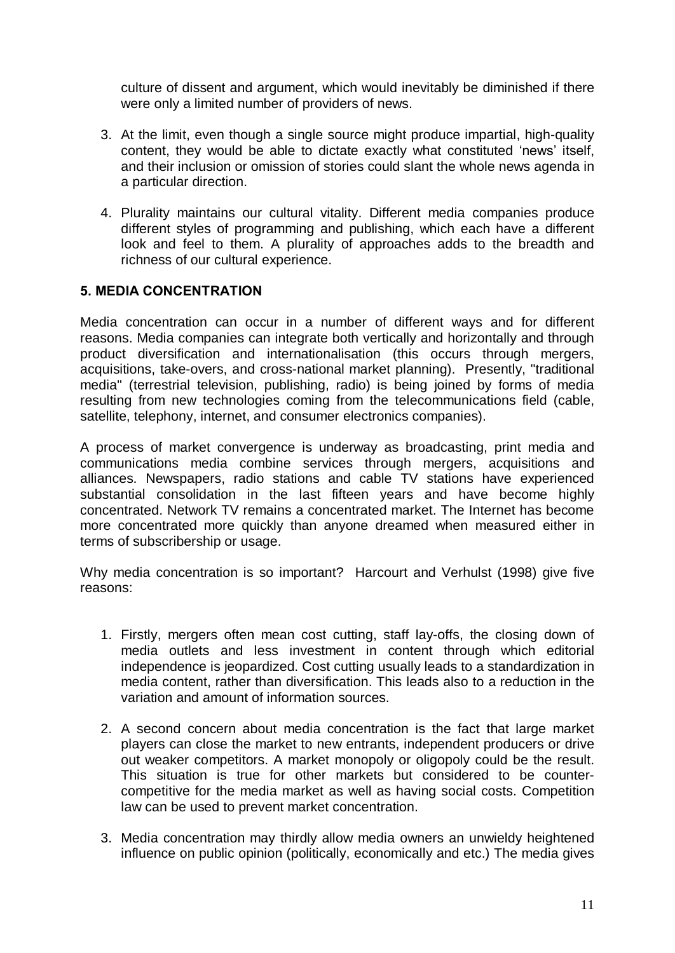culture of dissent and argument, which would inevitably be diminished if there were only a limited number of providers of news.

- 3. At the limit, even though a single source might produce impartial, high-quality content, they would be able to dictate exactly what constituted 'news' itself, and their inclusion or omission of stories could slant the whole news agenda in a particular direction.
- 4. Plurality maintains our cultural vitality. Different media companies produce different styles of programming and publishing, which each have a different look and feel to them. A plurality of approaches adds to the breadth and richness of our cultural experience.

### 5. MEDIA CONCENTRATION

Media concentration can occur in a number of different ways and for different reasons. Media companies can integrate both vertically and horizontally and through product diversification and internationalisation (this occurs through mergers, acquisitions, take-overs, and cross-national market planning). Presently, "traditional media" (terrestrial television, publishing, radio) is being joined by forms of media resulting from new technologies coming from the telecommunications field (cable, satellite, telephony, internet, and consumer electronics companies).

A process of market convergence is underway as broadcasting, print media and communications media combine services through mergers, acquisitions and alliances. Newspapers, radio stations and cable TV stations have experienced substantial consolidation in the last fifteen years and have become highly concentrated. Network TV remains a concentrated market. The Internet has become more concentrated more quickly than anyone dreamed when measured either in terms of subscribership or usage.

Why media concentration is so important? Harcourt and Verhulst (1998) give five reasons:

- 1. Firstly, mergers often mean cost cutting, staff lay-offs, the closing down of media outlets and less investment in content through which editorial independence is jeopardized. Cost cutting usually leads to a standardization in media content, rather than diversification. This leads also to a reduction in the variation and amount of information sources.
- 2. A second concern about media concentration is the fact that large market players can close the market to new entrants, independent producers or drive out weaker competitors. A market monopoly or oligopoly could be the result. This situation is true for other markets but considered to be counter competitive for the media market as well as having social costs. Competition law can be used to prevent market concentration.
- 3. Media concentration may thirdly allow media owners an unwieldy heightened influence on public opinion (politically, economically and etc.) The media gives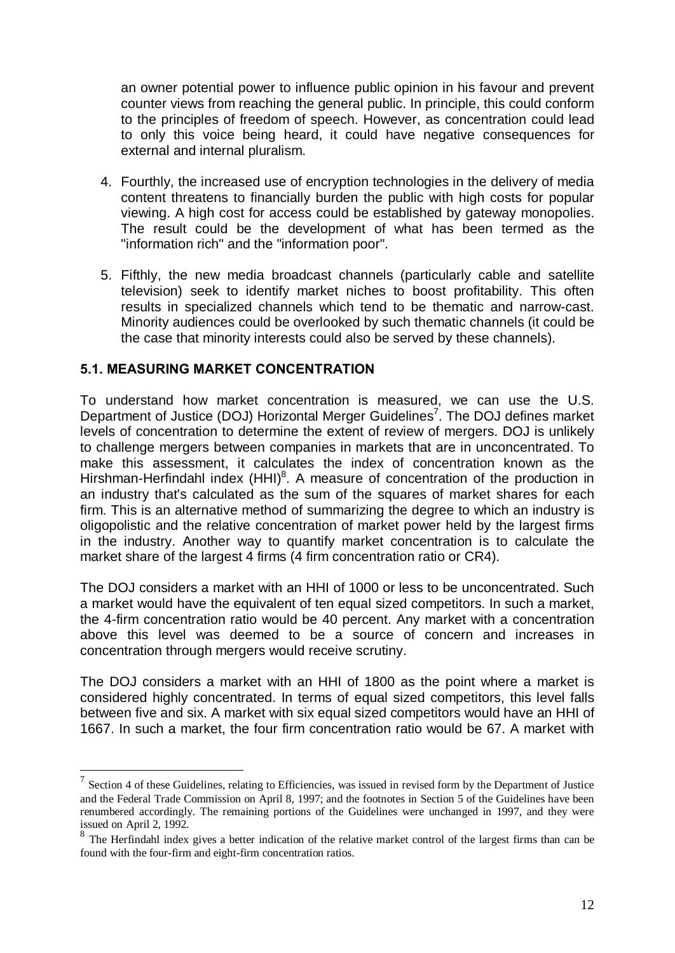an owner potential power to influence public opinion in his favour and prevent counter views from reaching the general public. In principle, this could conform to the principles of freedom of speech. However, as concentration could lead to only this voice being heard, it could have negative consequences for external and internal pluralism.

- 4. Fourthly, the increased use of encryption technologies in the delivery of media content threatens to financially burden the public with high costs for popular viewing. A high cost for access could be established by gateway monopolies. The result could be the development of what has been termed as the "information rich" and the "information poor".
- 5. Fifthly, the new media broadcast channels (particularly cable and satellite television) seek to identify market niches to boost profitability. This often results in specialized channels which tend to be thematic and narrow-cast. Minority audiences could be overlooked by such thematic channels (it could be the case that minority interests could also be served by these channels).

### 5.1. MEASURING MARKET CONCENTRATION

To understand how market concentration is measured, we can use the U.S. Department of Justice (DOJ) Horizontal Merger Guidelines<sup>7</sup>. The DOJ defines market levels of concentration to determine the extent of review of mergers. DOJ is unlikely to challenge mergers between companies in markets that are in unconcentrated. To make this assessment, it calculates the index of concentration known as the Hirshman-Herfindahl index (HHI)<sup>8</sup>. A measure of concentration of the production in an industry that's calculated as the sum of the squares of market shares for each firm. This is an alternative method of summarizing the degree to which an industry is oligopolistic and the relative concentration of market power held by the largest firms in the industry. Another way to quantify market concentration is to calculate the market share of the largest 4 firms (4 firm concentration ratio or CR4).

The DOJ considers a market with an HHI of 1000 or less to be unconcentrated. Such a market would have the equivalent of ten equal sized competitors. In such a market, the 4-firm concentration ratio would be 40 percent. Any market with a concentration above this level was deemed to be a source of concern and increases in concentration through mergers would receive scrutiny.

The DOJ considers a market with an HHI of 1800 as the point where a market is considered highly concentrated. In terms of equal sized competitors, this level falls between five and six. A market with six equal sized competitors would have an HHI of 1667. In such a market, the four firm concentration ratio would be 67. A market with

 $7$  Section 4 of these Guidelines, relating to Efficiencies, was issued in revised form by the Department of Justice and the Federal Trade Commission on April 8, 1997; and the footnotes in Section 5 of the Guidelines have been renumbered accordingly. The remaining portions of the Guidelines were unchanged in 1997, and they were issued on April 2, 1992.

 $8$  The Herfindahl index gives a better indication of the relative market control of the largest firms than can be found with the four-firm and eight-firm concentration ratios.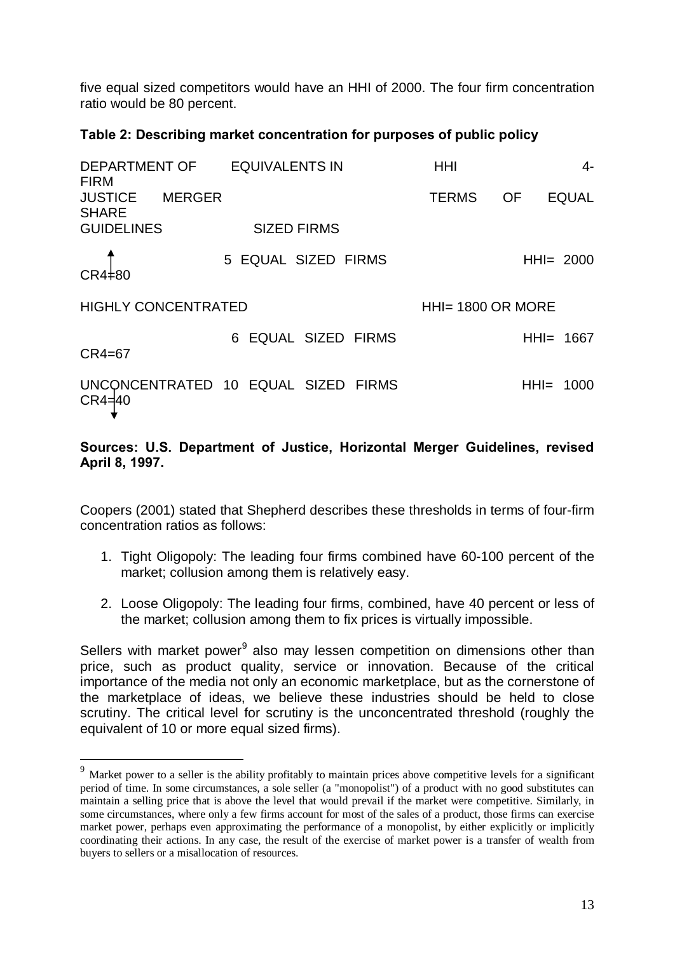five equal sized competitors would have an HHI of 2000. The four firm concentration ratio would be 80 percent.

## Table 2: Describing market concentration for purposes of public policy

| DEPARTMENT OF EQUIVALENTS IN<br><b>FIRM</b> |                                     | <b>HHI</b>          |                           | 4- |
|---------------------------------------------|-------------------------------------|---------------------|---------------------------|----|
| JUSTICE<br><b>MERGER</b><br><b>SHARE</b>    |                                     | <b>TERMS</b>        | <b>EQUAL</b><br><b>OF</b> |    |
| <b>GUIDELINES</b>                           | <b>SIZED FIRMS</b>                  |                     |                           |    |
| $CR4\pm80$                                  | 5 EQUAL SIZED FIRMS                 |                     | $HHI = 2000$              |    |
| <b>HIGHLY CONCENTRATED</b>                  |                                     | $HH = 1800$ OR MORE |                           |    |
| CR4=67                                      | 6 EQUAL SIZED FIRMS                 |                     | HHI= 1667                 |    |
| $CR4 = 40$                                  | UNCONCENTRATED 10 EQUAL SIZED FIRMS |                     | $HHI = 1000$              |    |

### Sources: U.S. Department of Justice, Horizontal Merger Guidelines, revised April 8, 1997.

Coopers (2001) stated that Shepherd describes these thresholds in terms of four-firm concentration ratios as follows:

- 1. Tight Oligopoly: The leading four firms combined have 60-100 percent of the market; collusion among them is relatively easy.
- 2. Loose Oligopoly: The leading four firms, combined, have 40 percent or less of the market; collusion among them to fix prices is virtually impossible.

Sellers with market power<sup>9</sup> also may lessen competition on dimensions other than price, such as product quality, service or innovation. Because of the critical importance of the media not only an economic marketplace, but as the cornerstone of the marketplace of ideas, we believe these industries should be held to close scrutiny. The critical level for scrutiny is the unconcentrated threshold (roughly the equivalent of 10 or more equal sized firms).

<sup>&</sup>lt;sup>9</sup> Market power to a seller is the ability profitably to maintain prices above competitive levels for a significant period of time. In some circumstances, a sole seller (a "monopolist") of a product with no good substitutes can maintain a selling price that is above the level that would prevail if the market were competitive. Similarly, in some circumstances, where only a few firms account for most of the sales of a product, those firms can exercise market power, perhaps even approximating the performance of a monopolist, by either explicitly or implicitly coordinating their actions. In any case, the result of the exercise of market power is a transfer of wealth from buyers to sellers or a misallocation of resources.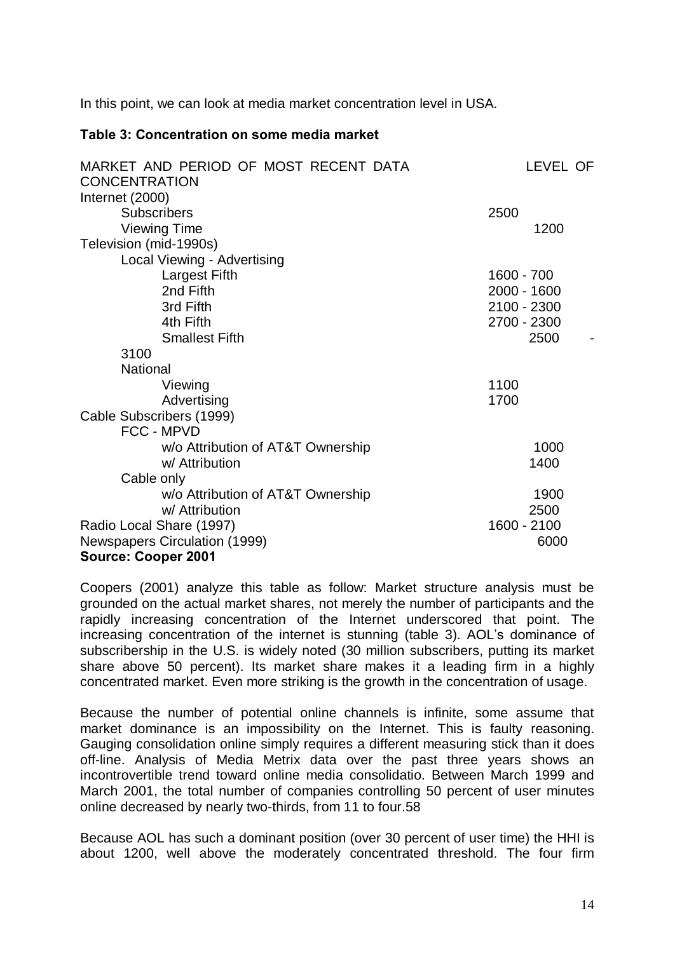In this point, we can look at media market concentration level in USA.

#### Table 3: Concentration on some media market

| MARKET AND PERIOD OF MOST RECENT DATA<br><b>CONCENTRATION</b> | LEVEL OF    |  |
|---------------------------------------------------------------|-------------|--|
|                                                               |             |  |
| Internet (2000)                                               |             |  |
| <b>Subscribers</b>                                            | 2500        |  |
| <b>Viewing Time</b>                                           | 1200        |  |
| Television (mid-1990s)                                        |             |  |
| Local Viewing - Advertising                                   |             |  |
| Largest Fifth                                                 | 1600 - 700  |  |
| 2nd Fifth                                                     | 2000 - 1600 |  |
| 3rd Fifth                                                     | 2100 - 2300 |  |
| 4th Fifth                                                     | 2700 - 2300 |  |
| <b>Smallest Fifth</b>                                         | 2500        |  |
| 3100                                                          |             |  |
| National                                                      |             |  |
| Viewing                                                       | 1100        |  |
| Advertising                                                   | 1700        |  |
| Cable Subscribers (1999)                                      |             |  |
| FCC - MPVD                                                    |             |  |
| w/o Attribution of AT&T Ownership                             | 1000        |  |
| w/ Attribution                                                | 1400        |  |
| Cable only                                                    |             |  |
| w/o Attribution of AT&T Ownership                             | 1900        |  |
| w/ Attribution                                                | 2500        |  |
| Radio Local Share (1997)                                      | 1600 - 2100 |  |
| <b>Newspapers Circulation (1999)</b>                          | 6000        |  |
| <b>Source: Cooper 2001</b>                                    |             |  |

Coopers (2001) analyze this table as follow: Market structure analysis must be grounded on the actual market shares, not merely the number of participants and the rapidly increasing concentration of the Internet underscored that point. The increasing concentration of the internet is stunning (table 3). AOL's dominance of subscribership in the U.S. is widely noted (30 million subscribers, putting its market share above 50 percent). Its market share makes it a leading firm in a highly concentrated market. Even more striking is the growth in the concentration of usage.

Because the number of potential online channels is infinite, some assume that market dominance is an impossibility on the Internet. This is faulty reasoning. Gauging consolidation online simply requires a different measuring stick than it does off-line. Analysis of Media Metrix data over the past three years shows an incontrovertible trend toward online media consolidatio. Between March 1999 and March 2001, the total number of companies controlling 50 percent of user minutes online decreased by nearly two-thirds, from 11 to four.58

Because AOL has such a dominant position (over 30 percent of user time) the HHI is about 1200, well above the moderately concentrated threshold. The four firm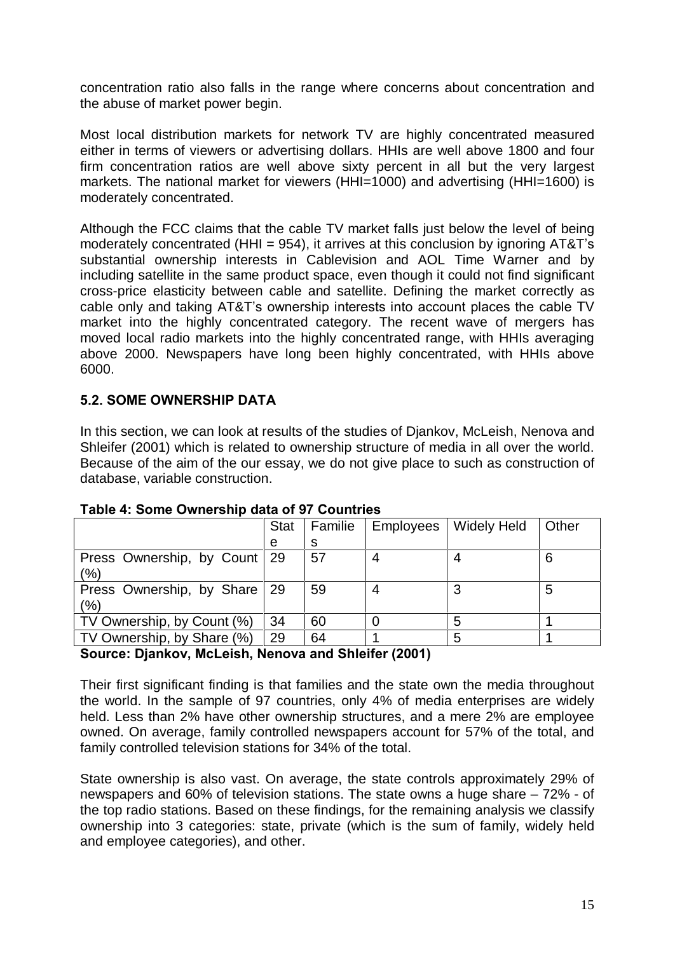concentration ratio also falls in the range where concerns about concentration and the abuse of market power begin.

Most local distribution markets for network TV are highly concentrated measured either in terms of viewers or advertising dollars. HHIs are well above 1800 and four firm concentration ratios are well above sixty percent in all but the very largest markets. The national market for viewers (HHI=1000) and advertising (HHI=1600) is moderately concentrated.

Although the FCC claims that the cable TV market falls just below the level of being moderately concentrated (HHI =  $954$ ), it arrives at this conclusion by ignoring AT&T's substantial ownership interests in Cablevision and AOL Time Warner and by including satellite in the same product space, even though it could not find significant cross-price elasticity between cable and satellite. Defining the market correctly as cable only and taking AT&T's ownership interests into account places the cable TV market into the highly concentrated category. The recent wave of mergers has moved local radio markets into the highly concentrated range, with HHIs averaging above 2000. Newspapers have long been highly concentrated, with HHIs above 6000.

## 5.2. SOME OWNERSHIP DATA

In this section, we can look at results of the studies of Djankov, McLeish, Nenova and Shleifer (2001) which is related to ownership structure of media in all over the world. Because of the aim of the our essay, we do not give place to such as construction of database, variable construction.

|                              | <b>Stat</b> | Familie | Employees | <b>Widely Held</b> | Other |
|------------------------------|-------------|---------|-----------|--------------------|-------|
|                              | e           | S       |           |                    |       |
| Press Ownership, by Count    | -29         | 57      | 4         |                    | 6     |
| (%)                          |             |         |           |                    |       |
| Press Ownership, by Share 29 |             | 59      | 4         | 3                  | 5     |
| (%)                          |             |         |           |                    |       |
| TV Ownership, by Count (%)   | 34          | 60      |           | 5                  |       |
| TV Ownership, by Share (%)   | 29          | 64      |           | 5                  |       |

### Table 4: Some Ownership data of 97 Countries

#### Source: Djankov, McLeish, Nenova and Shleifer (2001)

Their first significant finding is that families and the state own the media throughout the world. In the sample of 97 countries, only 4% of media enterprises are widely held. Less than 2% have other ownership structures, and a mere 2% are employee owned. On average, family controlled newspapers account for 57% of the total, and family controlled television stations for 34% of the total.

State ownership is also vast. On average, the state controls approximately 29% of newspapers and 60% of television stations. The state owns a huge share  $-72%$  - of the top radio stations. Based on these findings, for the remaining analysis we classify ownership into 3 categories: state, private (which is the sum of family, widely held and employee categories), and other.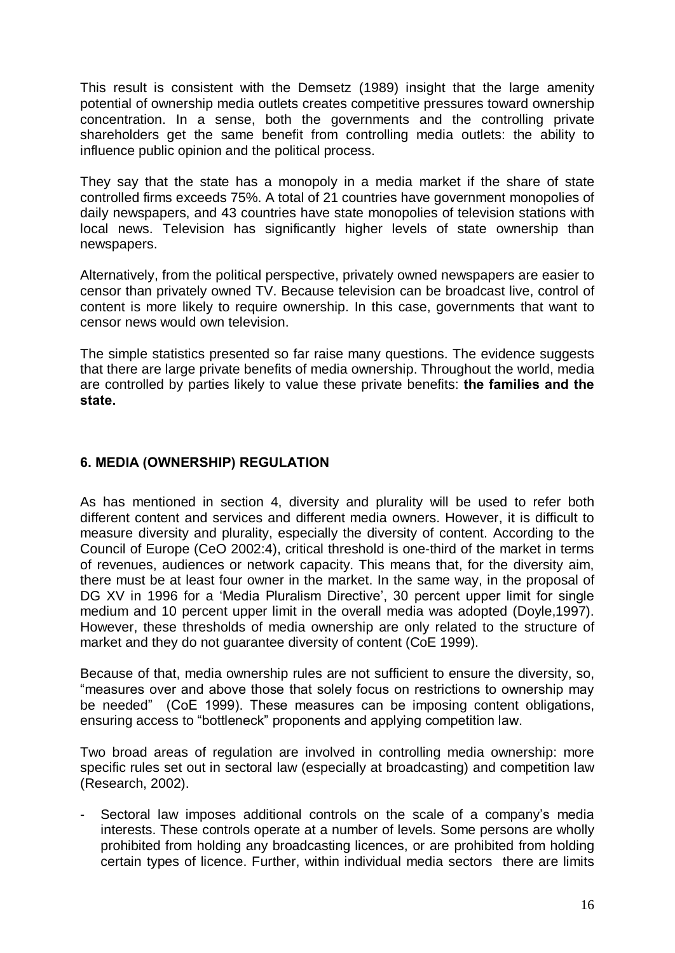This result is consistent with the Demsetz (1989) insight that the large amenity potential of ownership media outlets creates competitive pressures toward ownership concentration. In a sense, both the governments and the controlling private shareholders get the same benefit from controlling media outlets: the ability to influence public opinion and the political process.

They say that the state has a monopoly in a media market if the share of state controlled firms exceeds 75%. A total of 21 countries have government monopolies of daily newspapers, and 43 countries have state monopolies of television stations with local news. Television has significantly higher levels of state ownership than newspapers.

Alternatively, from the political perspective, privately owned newspapers are easier to censor than privately owned TV. Because television can be broadcast live, control of content is more likely to require ownership. In this case, governments that want to censor news would own television.

The simple statistics presented so far raise many questions. The evidence suggests that there are large private benefits of media ownership. Throughout the world, media are controlled by parties likely to value these private benefits: the families and the state.

### 6. MEDIA (OWNERSHIP) REGULATION

As has mentioned in section 4, diversity and plurality will be used to refer both different content and services and different media owners. However, it is difficult to measure diversity and plurality, especially the diversity of content. According to the Council of Europe (CeO 2002:4), critical threshold is one-third of the market in terms of revenues, audiences or network capacity. This means that, for the diversity aim, there must be at least four owner in the market. In the same way, in the proposal of DG XV in 1996 for a 'Media Pluralism Directive', 30 percent upper limit for single medium and 10 percent upper limit in the overall media was adopted (Doyle,1997). However, these thresholds of media ownership are only related to the structure of market and they do not guarantee diversity of content (CoE 1999).

Because of that, media ownership rules are not sufficient to ensure the diversity, so, ìmeasures over and above those that solely focus on restrictions to ownership may be needed" (CoE 1999). These measures can be imposing content obligations, ensuring access to "bottleneck" proponents and applying competition law.

Two broad areas of regulation are involved in controlling media ownership: more specific rules set out in sectoral law (especially at broadcasting) and competition law (Research, 2002).

Sectoral law imposes additional controls on the scale of a company's media interests. These controls operate at a number of levels. Some persons are wholly prohibited from holding any broadcasting licences, or are prohibited from holding certain types of licence. Further, within individual media sectors there are limits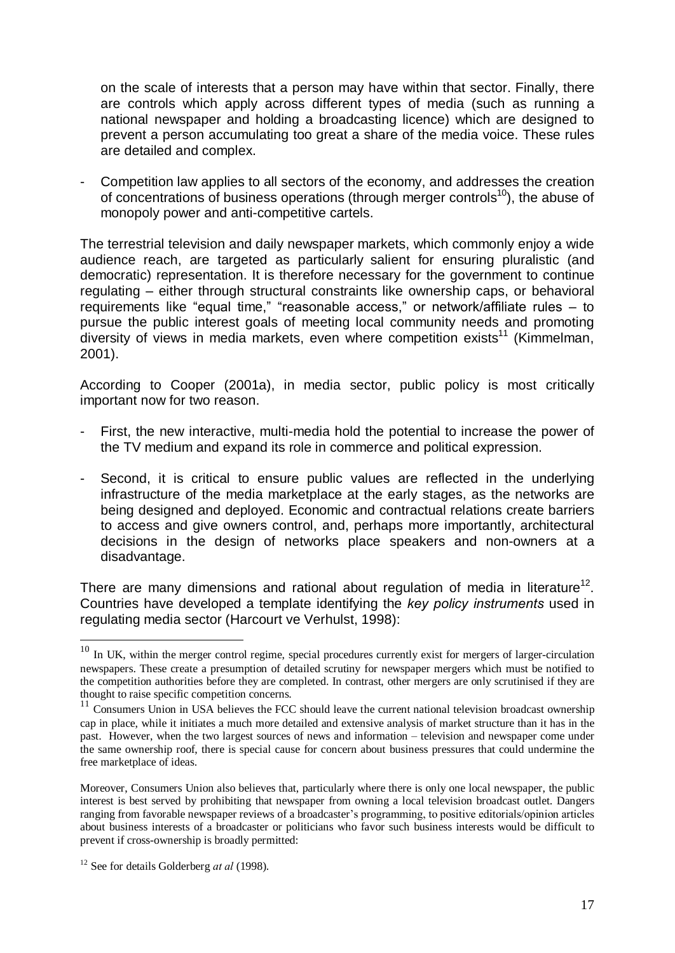on the scale of interests that a person may have within that sector. Finally, there are controls which apply across different types of media (such as running a national newspaper and holding a broadcasting licence) which are designed to prevent a person accumulating too great a share of the media voice. These rules are detailed and complex.

- Competition law applies to all sectors of the economy, and addresses the creation of concentrations of business operations (through merger controls<sup>10</sup>), the abuse of monopoly power and anti-competitive cartels.

The terrestrial television and daily newspaper markets, which commonly enjoy a wide audience reach, are targeted as particularly salient for ensuring pluralistic (and democratic) representation. It is therefore necessary for the government to continue regulating – either through structural constraints like ownership caps, or behavioral requirements like "equal time," "reasonable access," or network/affiliate rules  $-$  to pursue the public interest goals of meeting local community needs and promoting diversity of views in media markets, even where competition exists<sup>11</sup> (Kimmelman, 2001).

According to Cooper (2001a), in media sector, public policy is most critically important now for two reason.

- First, the new interactive, multi-media hold the potential to increase the power of the TV medium and expand its role in commerce and political expression.
- Second, it is critical to ensure public values are reflected in the underlying infrastructure of the media marketplace at the early stages, as the networks are being designed and deployed. Economic and contractual relations create barriers to access and give owners control, and, perhaps more importantly, architectural decisions in the design of networks place speakers and non-owners at a disadvantage.

There are many dimensions and rational about regulation of media in literature<sup>12</sup>. Countries have developed a template identifying the key policy instruments used in regulating media sector (Harcourt ve Verhulst, 1998):

<sup>&</sup>lt;sup>10</sup> In UK, within the merger control regime, special procedures currently exist for mergers of larger-circulation newspapers. These create a presumption of detailed scrutiny for newspaper mergers which must be notified to the competition authorities before they are completed. In contrast, other mergers are only scrutinised if they are

thought to raise specific competition concerns.<br> $11$  Consumers Union in USA believes the FCC should leave the current national television broadcast ownership cap in place, while it initiates a much more detailed and extensive analysis of market structure than it has in the past. However, when the two largest sources of news and information – television and newspaper come under the same ownership roof, there is special cause for concern about business pressures that could undermine the free marketplace of ideas.

Moreover, Consumers Union also believes that, particularly where there is only one local newspaper, the public interest is best served by prohibiting that newspaper from owning a local television broadcast outlet. Dangers ranging from favorable newspaper reviews of a broadcaster's programming, to positive editorials/opinion articles about business interests of a broadcaster or politicians who favor such business interests would be difficult to prevent if cross-ownership is broadly permitted:

<sup>&</sup>lt;sup>12</sup> See for details Golderberg *at al* (1998).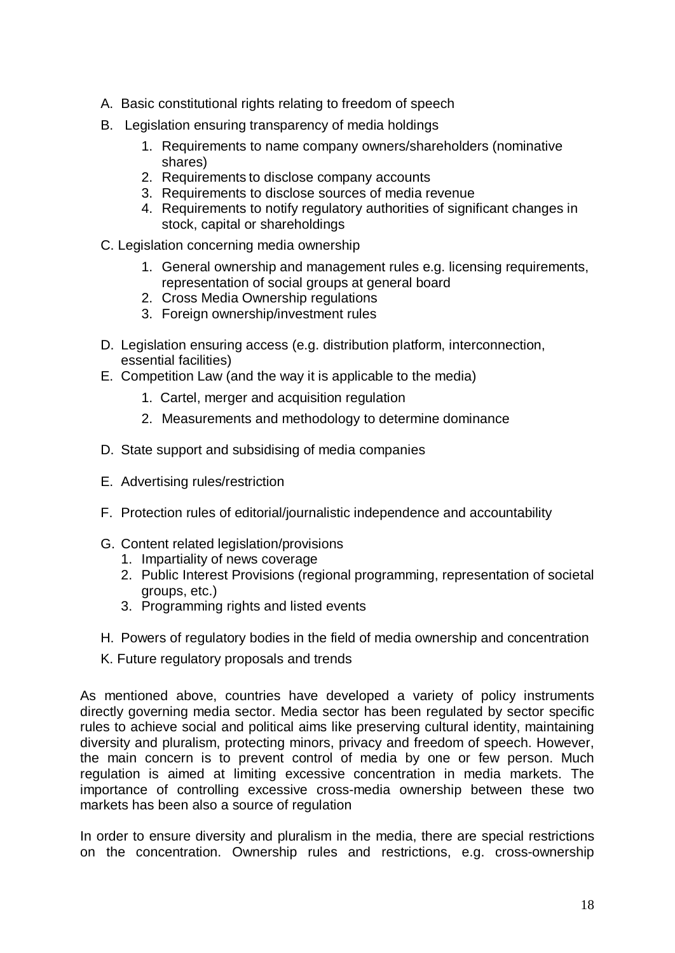- A. Basic constitutional rights relating to freedom of speech
- B. Legislation ensuring transparency of media holdings
	- 1. Requirements to name company owners/shareholders (nominative shares)
	- 2. Requirements to disclose company accounts
	- 3. Requirements to disclose sources of media revenue
	- 4. Requirements to notify regulatory authorities of significant changes in stock, capital or shareholdings
- C. Legislation concerning media ownership
	- 1. General ownership and management rules e.g. licensing requirements, representation of social groups at general board
	- 2. Cross Media Ownership regulations
	- 3. Foreign ownership/investment rules
- D. Legislation ensuring access (e.g. distribution platform, interconnection, essential facilities)
- E. Competition Law (and the way it is applicable to the media)
	- 1. Cartel, merger and acquisition regulation
	- 2. Measurements and methodology to determine dominance
- D. State support and subsidising of media companies
- E. Advertising rules/restriction
- F. Protection rules of editorial/journalistic independence and accountability
- G. Content related legislation/provisions
	- 1. Impartiality of news coverage
	- 2. Public Interest Provisions (regional programming, representation of societal groups, etc.)
	- 3. Programming rights and listed events
- H. Powers of regulatory bodies in the field of media ownership and concentration
- K. Future regulatory proposals and trends

As mentioned above, countries have developed a variety of policy instruments directly governing media sector. Media sector has been regulated by sector specific rules to achieve social and political aims like preserving cultural identity, maintaining diversity and pluralism, protecting minors, privacy and freedom of speech. However, the main concern is to prevent control of media by one or few person. Much regulation is aimed at limiting excessive concentration in media markets. The importance of controlling excessive cross-media ownership between these two markets has been also a source of regulation

In order to ensure diversity and pluralism in the media, there are special restrictions on the concentration. Ownership rules and restrictions, e.g. cross-ownership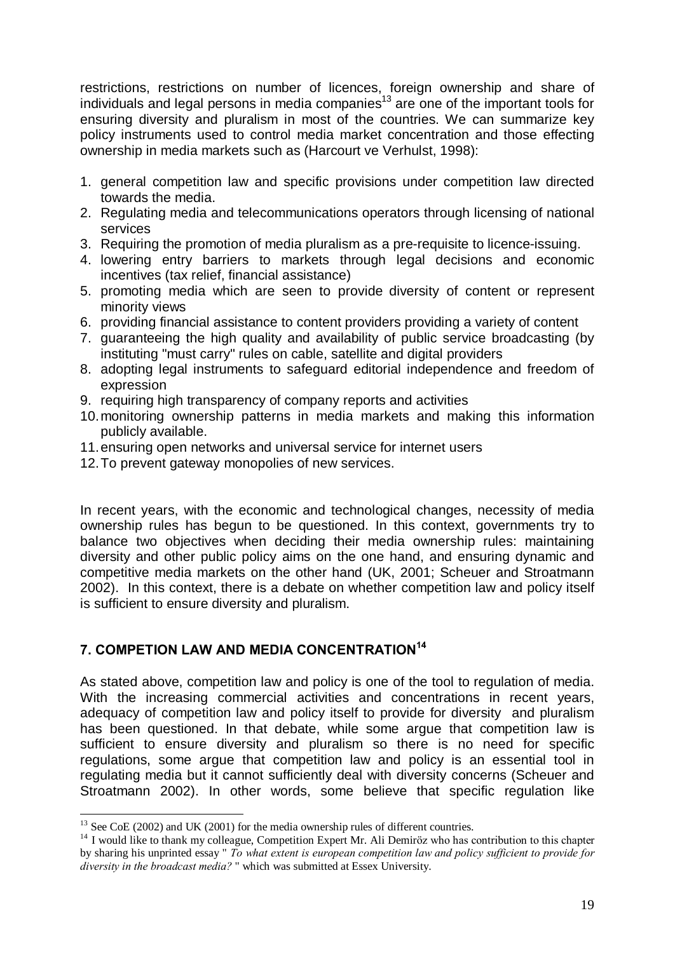restrictions, restrictions on number of licences, foreign ownership and share of individuals and legal persons in media companies<sup>13</sup> are one of the important tools for ensuring diversity and pluralism in most of the countries. We can summarize key policy instruments used to control media market concentration and those effecting ownership in media markets such as (Harcourt ve Verhulst, 1998):

- 1. general competition law and specific provisions under competition law directed towards the media.
- 2. Regulating media and telecommunications operators through licensing of national services
- 3. Requiring the promotion of media pluralism as a pre-requisite to licence-issuing.
- 4. lowering entry barriers to markets through legal decisions and economic incentives (tax relief, financial assistance)
- 5. promoting media which are seen to provide diversity of content or represent minority views
- 6. providing financial assistance to content providers providing a variety of content
- 7. guaranteeing the high quality and availability of public service broadcasting (by instituting "must carry" rules on cable, satellite and digital providers
- 8. adopting legal instruments to safeguard editorial independence and freedom of expression
- 9. requiring high transparency of company reports and activities
- 10.monitoring ownership patterns in media markets and making this information publicly available.
- 11.ensuring open networks and universal service for internet users
- 12.To prevent gateway monopolies of new services.

In recent years, with the economic and technological changes, necessity of media ownership rules has begun to be questioned. In this context, governments try to balance two objectives when deciding their media ownership rules: maintaining diversity and other public policy aims on the one hand, and ensuring dynamic and competitive media markets on the other hand (UK, 2001; Scheuer and Stroatmann 2002). In this context, there is a debate on whether competition law and policy itself is sufficient to ensure diversity and pluralism.

# 7. COMPETION LAW AND MEDIA CONCENTRATION 14

As stated above, competition law and policy is one of the tool to regulation of media. With the increasing commercial activities and concentrations in recent years, adequacy of competition law and policy itself to provide for diversity and pluralism has been questioned. In that debate, while some argue that competition law is sufficient to ensure diversity and pluralism so there is no need for specific regulations, some argue that competition law and policy is an essential tool in regulating media but it cannot sufficiently deal with diversity concerns (Scheuer and Stroatmann 2002). In other words, some believe that specific regulation like

<sup>&</sup>lt;sup>13</sup> See CoE (2002) and UK (2001) for the media ownership rules of different countries.<br><sup>14</sup> I would like to thank my colleague, Competition Expert Mr. Ali Demiröz who has contribution to this chapter by sharing his unprinted essay " To what extent is european competition law and policy sufficient to provide for diversity in the broadcast media? " which was submitted at Essex University.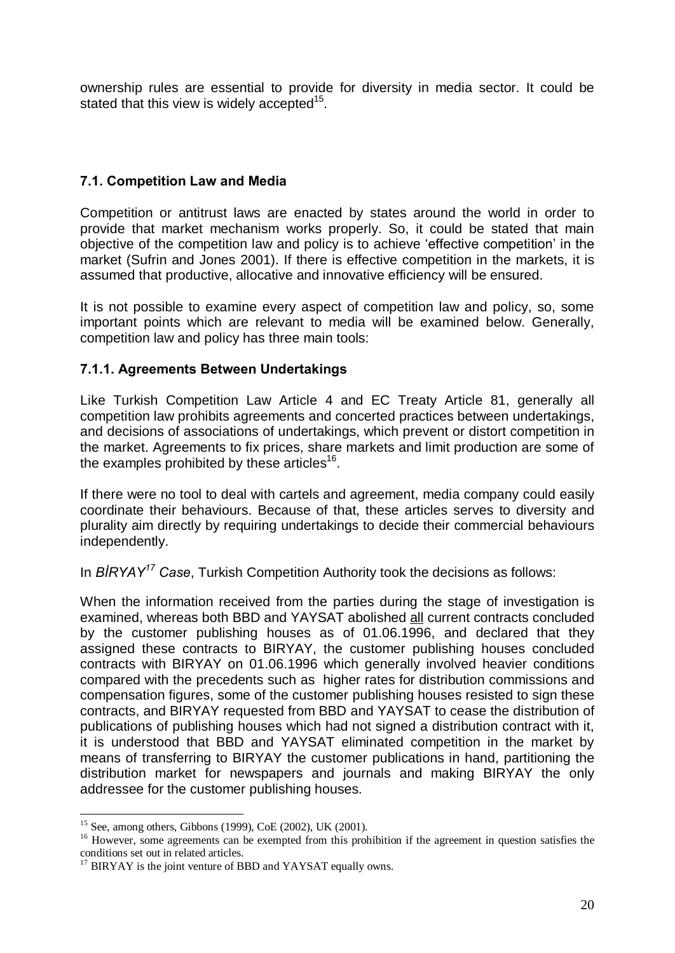ownership rules are essential to provide for diversity in media sector. It could be stated that this view is widely accepted<sup>15</sup>.

## 7.1. Competition Law and Media

Competition or antitrust laws are enacted by states around the world in order to provide that market mechanism works properly. So, it could be stated that main objective of the competition law and policy is to achieve 'effective competition' in the market (Sufrin and Jones 2001). If there is effective competition in the markets, it is assumed that productive, allocative and innovative efficiency will be ensured.

It is not possible to examine every aspect of competition law and policy, so, some important points which are relevant to media will be examined below. Generally, competition law and policy has three main tools:

### 7.1.1. Agreements Between Undertakings

Like Turkish Competition Law Article 4 and EC Treaty Article 81, generally all competition law prohibits agreements and concerted practices between undertakings, and decisions of associations of undertakings, which prevent or distort competition in the market. Agreements to fix prices, share markets and limit production are some of the examples prohibited by these articles<sup>16</sup>.

If there were no tool to deal with cartels and agreement, media company could easily coordinate their behaviours. Because of that, these articles serves to diversity and plurality aim directly by requiring undertakings to decide their commercial behaviours independently.

In  $BIRYAY^{17}$  Case, Turkish Competition Authority took the decisions as follows:

When the information received from the parties during the stage of investigation is examined, whereas both BBD and YAYSAT abolished all current contracts concluded by the customer publishing houses as of 01.06.1996, and declared that they assigned these contracts to BIRYAY, the customer publishing houses concluded contracts with BIRYAY on 01.06.1996 which generally involved heavier conditions compared with the precedents such as higher rates for distribution commissions and compensation figures, some of the customer publishing houses resisted to sign these contracts, and BIRYAY requested from BBD and YAYSAT to cease the distribution of publications of publishing houses which had not signed a distribution contract with it, it is understood that BBD and YAYSAT eliminated competition in the market by means of transferring to BIRYAY the customer publications in hand, partitioning the distribution market for newspapers and journals and making BIRYAY the only addressee for the customer publishing houses.

<sup>&</sup>lt;sup>15</sup> See, among others, Gibbons (1999), CoE (2002), UK (2001).<br><sup>16</sup> However, some agreements can be exempted from this prohibition if the agreement in question satisfies the conditions set out in related articles.

 $17$  BIRYAY is the joint venture of BBD and YAYSAT equally owns.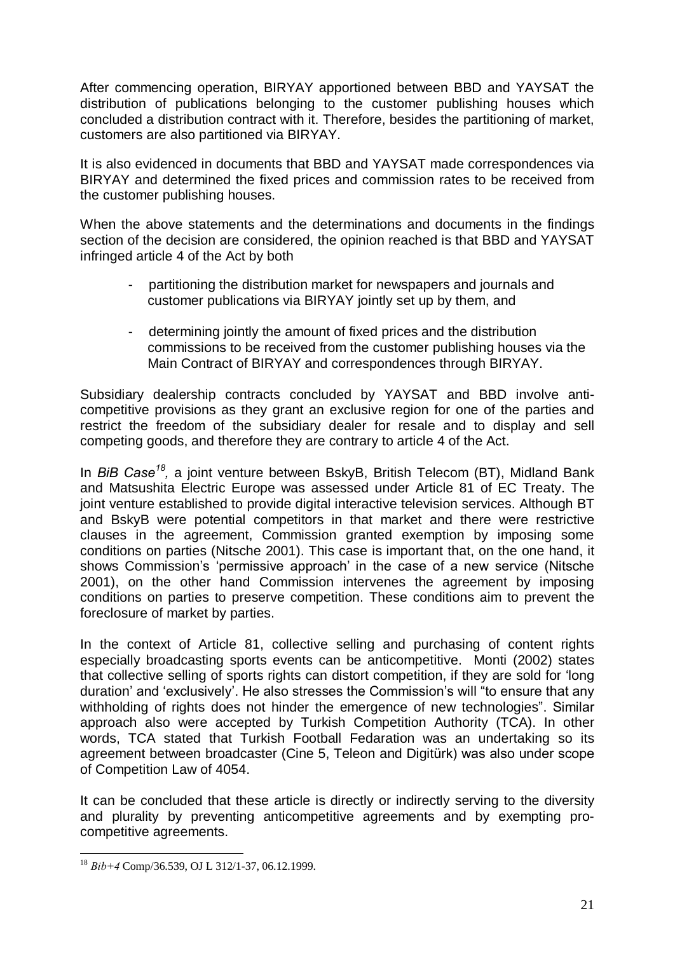After commencing operation, BIRYAY apportioned between BBD and YAYSAT the distribution of publications belonging to the customer publishing houses which concluded a distribution contract with it. Therefore, besides the partitioning of market, customers are also partitioned via BIRYAY.

It is also evidenced in documents that BBD and YAYSAT made correspondences via BIRYAY and determined the fixed prices and commission rates to be received from the customer publishing houses.

When the above statements and the determinations and documents in the findings section of the decision are considered, the opinion reached is that BBD and YAYSAT infringed article 4 of the Act by both

- partitioning the distribution market for newspapers and journals and customer publications via BIRYAY jointly set up by them, and
- determining jointly the amount of fixed prices and the distribution commissions to be received from the customer publishing houses via the Main Contract of BIRYAY and correspondences through BIRYAY.

Subsidiary dealership contracts concluded by YAYSAT and BBD involve anti competitive provisions as they grant an exclusive region for one of the parties and restrict the freedom of the subsidiary dealer for resale and to display and sell competing goods, and therefore they are contrary to article 4 of the Act.

In BiB Case<sup>18</sup>, a joint venture between BskyB, British Telecom (BT), Midland Bank and Matsushita Electric Europe was assessed under Article 81 of EC Treaty. The joint venture established to provide digital interactive television services. Although BT and BskyB were potential competitors in that market and there were restrictive clauses in the agreement, Commission granted exemption by imposing some conditions on parties (Nitsche 2001). This case is important that, on the one hand, it shows Commission's 'permissive approach' in the case of a new service (Nitsche 2001), on the other hand Commission intervenes the agreement by imposing conditions on parties to preserve competition. These conditions aim to prevent the foreclosure of market by parties.

In the context of Article 81, collective selling and purchasing of content rights especially broadcasting sports events can be anticompetitive. Monti (2002) states that collective selling of sports rights can distort competition, if they are sold for 'long duration' and 'exclusively'. He also stresses the Commission's will "to ensure that any withholding of rights does not hinder the emergence of new technologies". Similar approach also were accepted by Turkish Competition Authority (TCA). In other words, TCA stated that Turkish Football Fedaration was an undertaking so its agreement between broadcaster (Cine 5, Teleon and Digitürk) was also under scope of Competition Law of 4054.

It can be concluded that these article is directly or indirectly serving to the diversity and plurality by preventing anticompetitive agreements and by exempting pro competitive agreements.

 $18$  Bib+4 Comp/36.539, OJ L 312/1-37, 06.12.1999.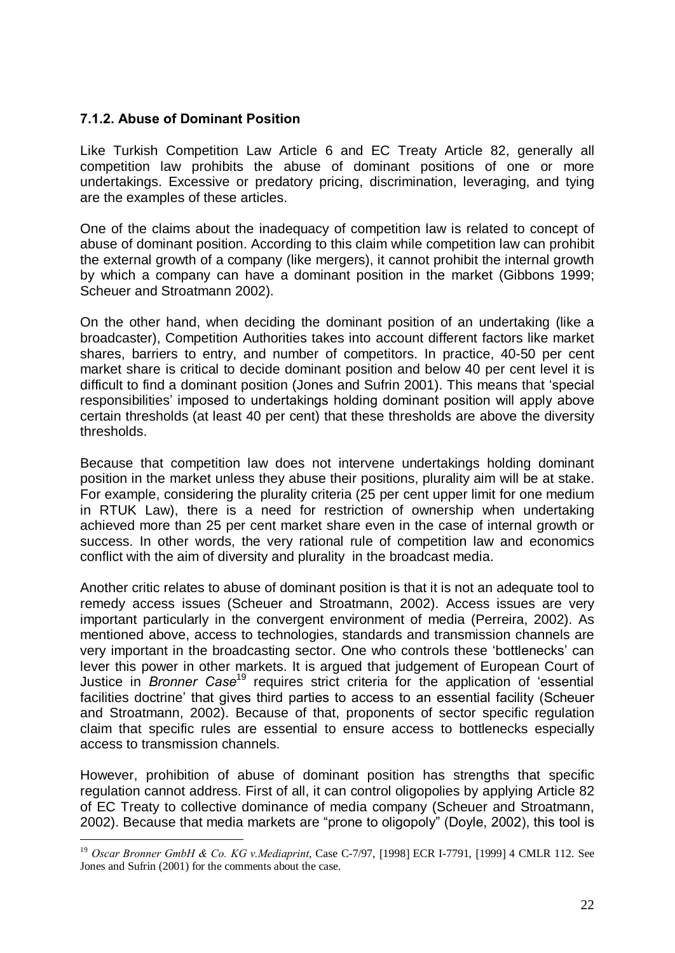### 7.1.2. Abuse of Dominant Position

 $\overline{a}$ 

Like Turkish Competition Law Article 6 and EC Treaty Article 82, generally all competition law prohibits the abuse of dominant positions of one or more undertakings. Excessive or predatory pricing, discrimination, leveraging, and tying are the examples of these articles.

One of the claims about the inadequacy of competition law is related to concept of abuse of dominant position. According to this claim while competition law can prohibit the external growth of a company (like mergers), it cannot prohibit the internal growth by which a company can have a dominant position in the market (Gibbons 1999; Scheuer and Stroatmann 2002).

On the other hand, when deciding the dominant position of an undertaking (like a broadcaster), Competition Authorities takes into account different factors like market shares, barriers to entry, and number of competitors. In practice, 40-50 per cent market share is critical to decide dominant position and below 40 per cent level it is difficult to find a dominant position (Jones and Sufrin 2001). This means that ëspecial responsibilities' imposed to undertakings holding dominant position will apply above certain thresholds (at least 40 per cent) that these thresholds are above the diversity thresholds.

Because that competition law does not intervene undertakings holding dominant position in the market unless they abuse their positions, plurality aim will be at stake. For example, considering the plurality criteria (25 per cent upper limit for one medium in RTUK Law), there is a need for restriction of ownership when undertaking achieved more than 25 per cent market share even in the case of internal growth or success. In other words, the very rational rule of competition law and economics conflict with the aim of diversity and plurality in the broadcast media.

Another critic relates to abuse of dominant position is that it is not an adequate tool to remedy access issues (Scheuer and Stroatmann, 2002). Access issues are very important particularly in the convergent environment of media (Perreira, 2002). As mentioned above, access to technologies, standards and transmission channels are very important in the broadcasting sector. One who controls these ëbottlenecksí can lever this power in other markets. It is argued that judgement of European Court of Justice in *Bronner Case*<sup>19</sup> requires strict criteria for the application of 'essential facilities doctrine' that gives third parties to access to an essential facility (Scheuer and Stroatmann, 2002). Because of that, proponents of sector specific regulation claim that specific rules are essential to ensure access to bottlenecks especially access to transmission channels.

However, prohibition of abuse of dominant position has strengths that specific regulation cannot address. First of all, it can control oligopolies by applying Article 82 of EC Treaty to collective dominance of media company (Scheuer and Stroatmann, 2002). Because that media markets are "prone to oligopoly" (Doyle, 2002), this tool is

<sup>&</sup>lt;sup>19</sup> Oscar Bronner GmbH & Co. KG v.Mediaprint, Case C-7/97, [1998] ECR I-7791, [1999] 4 CMLR 112. See Jones and Sufrin (2001) for the comments about the case.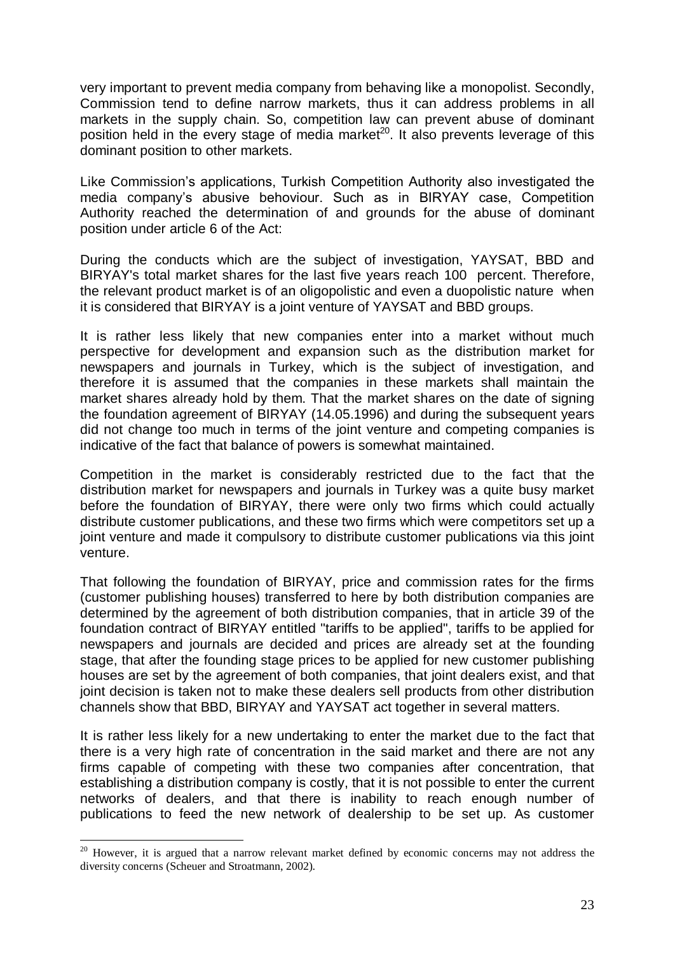very important to prevent media company from behaving like a monopolist. Secondly, Commission tend to define narrow markets, thus it can address problems in all markets in the supply chain. So, competition law can prevent abuse of dominant position held in the every stage of media market<sup>20</sup>. It also prevents leverage of this dominant position to other markets.

Like Commission's applications. Turkish Competition Authority also investigated the media companyís abusive behoviour. Such as in BIRYAY case, Competition Authority reached the determination of and grounds for the abuse of dominant position under article 6 of the Act:

During the conducts which are the subject of investigation, YAYSAT, BBD and BIRYAY's total market shares for the last five years reach 100 percent. Therefore, the relevant product market is of an oligopolistic and even a duopolistic nature when it is considered that BIRYAY is a joint venture of YAYSAT and BBD groups.

It is rather less likely that new companies enter into a market without much perspective for development and expansion such as the distribution market for newspapers and journals in Turkey, which is the subject of investigation, and therefore it is assumed that the companies in these markets shall maintain the market shares already hold by them. That the market shares on the date of signing the foundation agreement of BIRYAY (14.05.1996) and during the subsequent years did not change too much in terms of the joint venture and competing companies is indicative of the fact that balance of powers is somewhat maintained.

Competition in the market is considerably restricted due to the fact that the distribution market for newspapers and journals in Turkey was a quite busy market before the foundation of BIRYAY, there were only two firms which could actually distribute customer publications, and these two firms which were competitors set up a joint venture and made it compulsory to distribute customer publications via this joint venture.

That following the foundation of BIRYAY, price and commission rates for the firms (customer publishing houses) transferred to here by both distribution companies are determined by the agreement of both distribution companies, that in article 39 of the foundation contract of BIRYAY entitled "tariffs to be applied", tariffs to be applied for newspapers and journals are decided and prices are already set at the founding stage, that after the founding stage prices to be applied for new customer publishing houses are set by the agreement of both companies, that joint dealers exist, and that joint decision is taken not to make these dealers sell products from other distribution channels show that BBD, BIRYAY and YAYSAT act together in several matters.

It is rather less likely for a new undertaking to enter the market due to the fact that there is a very high rate of concentration in the said market and there are not any firms capable of competing with these two companies after concentration, that establishing a distribution company is costly, that it is not possible to enter the current networks of dealers, and that there is inability to reach enough number of publications to feed the new network of dealership to be set up. As customer

<sup>&</sup>lt;sup>20</sup> However, it is argued that a narrow relevant market defined by economic concerns may not address the diversity concerns (Scheuer and Stroatmann, 2002).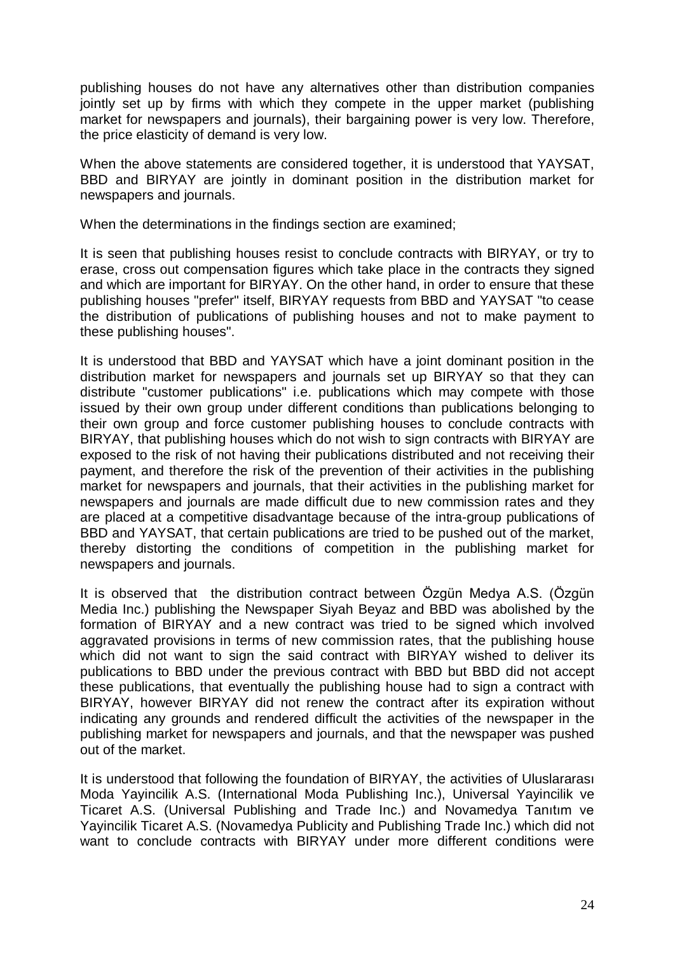publishing houses do not have any alternatives other than distribution companies jointly set up by firms with which they compete in the upper market (publishing market for newspapers and journals), their bargaining power is very low. Therefore, the price elasticity of demand is very low.

When the above statements are considered together, it is understood that YAYSAT, BBD and BIRYAY are jointly in dominant position in the distribution market for newspapers and journals.

When the determinations in the findings section are examined;

It is seen that publishing houses resist to conclude contracts with BIRYAY, or try to erase, cross out compensation figures which take place in the contracts they signed and which are important for BIRYAY. On the other hand, in order to ensure that these publishing houses "prefer" itself, BIRYAY requests from BBD and YAYSAT "to cease the distribution of publications of publishing houses and not to make payment to these publishing houses".

It is understood that BBD and YAYSAT which have a joint dominant position in the distribution market for newspapers and journals set up BIRYAY so that they can distribute "customer publications" i.e. publications which may compete with those issued by their own group under different conditions than publications belonging to their own group and force customer publishing houses to conclude contracts with BIRYAY, that publishing houses which do not wish to sign contracts with BIRYAY are exposed to the risk of not having their publications distributed and not receiving their payment, and therefore the risk of the prevention of their activities in the publishing market for newspapers and journals, that their activities in the publishing market for newspapers and journals are made difficult due to new commission rates and they are placed at a competitive disadvantage because of the intra-group publications of BBD and YAYSAT, that certain publications are tried to be pushed out of the market, thereby distorting the conditions of competition in the publishing market for newspapers and journals.

It is observed that the distribution contract between Özgün Medya A.S. (Özgün Media Inc.) publishing the Newspaper Siyah Beyaz and BBD was abolished by the formation of BIRYAY and a new contract was tried to be signed which involved aggravated provisions in terms of new commission rates, that the publishing house which did not want to sign the said contract with BIRYAY wished to deliver its publications to BBD under the previous contract with BBD but BBD did not accept these publications, that eventually the publishing house had to sign a contract with BIRYAY, however BIRYAY did not renew the contract after its expiration without indicating any grounds and rendered difficult the activities of the newspaper in the publishing market for newspapers and journals, and that the newspaper was pushed out of the market.

It is understood that following the foundation of BIRYAY, the activities of Uluslararas Moda Yayincilik A.S. (International Moda Publishing Inc.), Universal Yayincilik ve Ticaret A.S. (Universal Publishing and Trade Inc.) and Novamedya Tanıtım ve Yayincilik Ticaret A.S. (Novamedya Publicity and Publishing Trade Inc.) which did not want to conclude contracts with BIRYAY under more different conditions were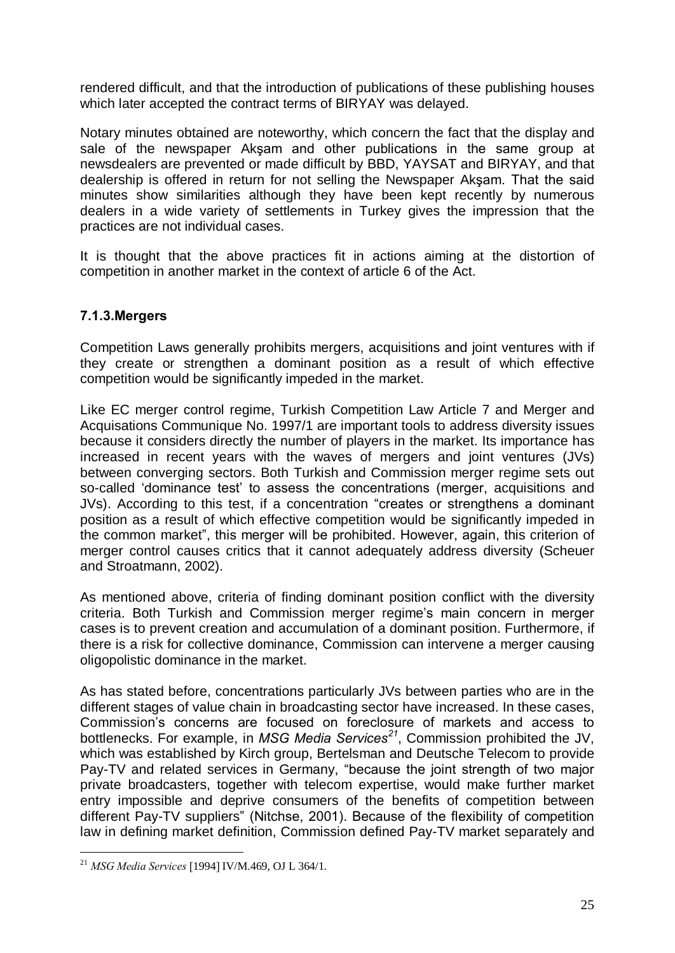rendered difficult, and that the introduction of publications of these publishing houses which later accepted the contract terms of BIRYAY was delayed.

Notary minutes obtained are noteworthy, which concern the fact that the display and sale of the newspaper Aksam and other publications in the same group at newsdealers are prevented or made difficult by BBD, YAYSAT and BIRYAY, and that dealership is offered in return for not selling the Newspaper Aksam. That the said minutes show similarities although they have been kept recently by numerous dealers in a wide variety of settlements in Turkey gives the impression that the practices are not individual cases.

It is thought that the above practices fit in actions aiming at the distortion of competition in another market in the context of article 6 of the Act.

### 7.1.3.Mergers

Competition Laws generally prohibits mergers, acquisitions and joint ventures with if they create or strengthen a dominant position as a result of which effective competition would be significantly impeded in the market.

Like EC merger control regime, Turkish Competition Law Article 7 and Merger and Acquisations Communique No. 1997/1 are important tools to address diversity issues because it considers directly the number of players in the market. Its importance has increased in recent years with the waves of mergers and joint ventures (JVs) between converging sectors. Both Turkish and Commission merger regime sets out so-called 'dominance test' to assess the concentrations (merger, acquisitions and JVs). According to this test, if a concentration "creates or strengthens a dominant position as a result of which effective competition would be significantly impeded in the common market", this merger will be prohibited. However, again, this criterion of merger control causes critics that it cannot adequately address diversity (Scheuer and Stroatmann, 2002).

As mentioned above, criteria of finding dominant position conflict with the diversity criteria. Both Turkish and Commission merger regime's main concern in merger cases is to prevent creation and accumulation of a dominant position. Furthermore, if there is a risk for collective dominance, Commission can intervene a merger causing oligopolistic dominance in the market.

As has stated before, concentrations particularly JVs between parties who are in the different stages of value chain in broadcasting sector have increased. In these cases, Commission's concerns are focused on foreclosure of markets and access to bottlenecks. For example, in *MSG Media Services<sup>21</sup>*, Commission prohibited the JV, which was established by Kirch group, Bertelsman and Deutsche Telecom to provide Pay-TV and related services in Germany, "because the joint strength of two major private broadcasters, together with telecom expertise, would make further market entry impossible and deprive consumers of the benefits of competition between different Pay-TV suppliers" (Nitchse, 2001). Because of the flexibility of competition law in defining market definition, Commission defined Pay-TV market separately and

 $^{21}$  MSG Media Services [1994] IV/M.469, OJ L 364/1.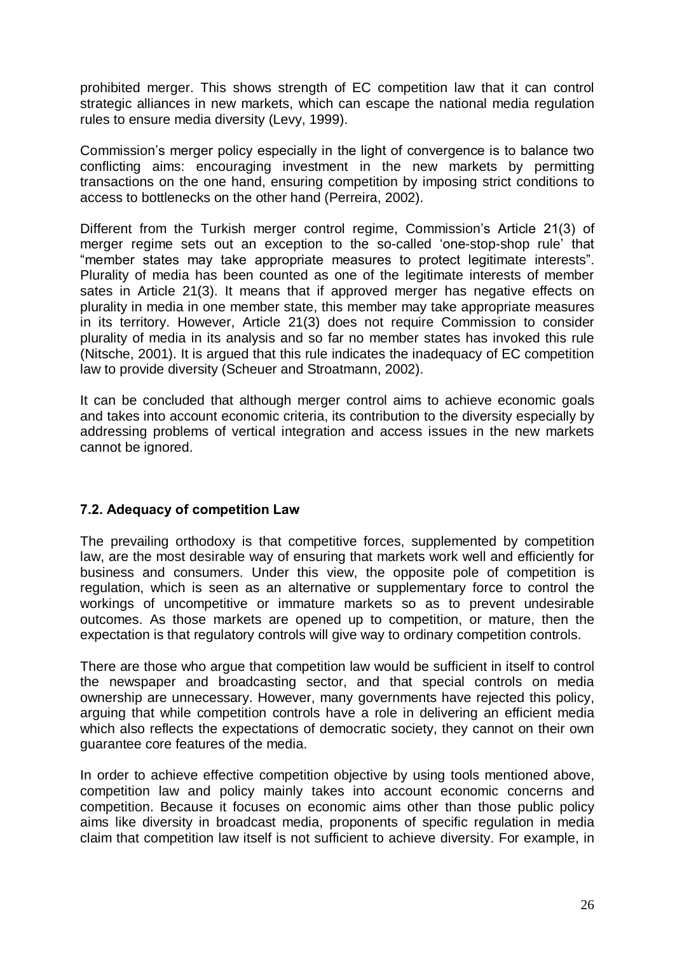prohibited merger. This shows strength of EC competition law that it can control strategic alliances in new markets, which can escape the national media regulation rules to ensure media diversity (Levy, 1999).

Commission's merger policy especially in the light of convergence is to balance two conflicting aims: encouraging investment in the new markets by permitting transactions on the one hand, ensuring competition by imposing strict conditions to access to bottlenecks on the other hand (Perreira, 2002).

Different from the Turkish merger control regime, Commission's Article 21(3) of merger regime sets out an exception to the so-called 'one-stop-shop rule' that "member states may take appropriate measures to protect legitimate interests". Plurality of media has been counted as one of the legitimate interests of member sates in Article 21(3). It means that if approved merger has negative effects on plurality in media in one member state, this member may take appropriate measures in its territory. However, Article 21(3) does not require Commission to consider plurality of media in its analysis and so far no member states has invoked this rule (Nitsche, 2001). It is argued that this rule indicates the inadequacy of EC competition law to provide diversity (Scheuer and Stroatmann, 2002).

It can be concluded that although merger control aims to achieve economic goals and takes into account economic criteria, its contribution to the diversity especially by addressing problems of vertical integration and access issues in the new markets cannot be ignored.

# 7.2. Adequacy of competition Law

The prevailing orthodoxy is that competitive forces, supplemented by competition law, are the most desirable way of ensuring that markets work well and efficiently for business and consumers. Under this view, the opposite pole of competition is regulation, which is seen as an alternative or supplementary force to control the workings of uncompetitive or immature markets so as to prevent undesirable outcomes. As those markets are opened up to competition, or mature, then the expectation is that regulatory controls will give way to ordinary competition controls.

There are those who argue that competition law would be sufficient in itself to control the newspaper and broadcasting sector, and that special controls on media ownership are unnecessary. However, many governments have rejected this policy, arguing that while competition controls have a role in delivering an efficient media which also reflects the expectations of democratic society, they cannot on their own guarantee core features of the media.

In order to achieve effective competition objective by using tools mentioned above, competition law and policy mainly takes into account economic concerns and competition. Because it focuses on economic aims other than those public policy aims like diversity in broadcast media, proponents of specific regulation in media claim that competition law itself is not sufficient to achieve diversity. For example, in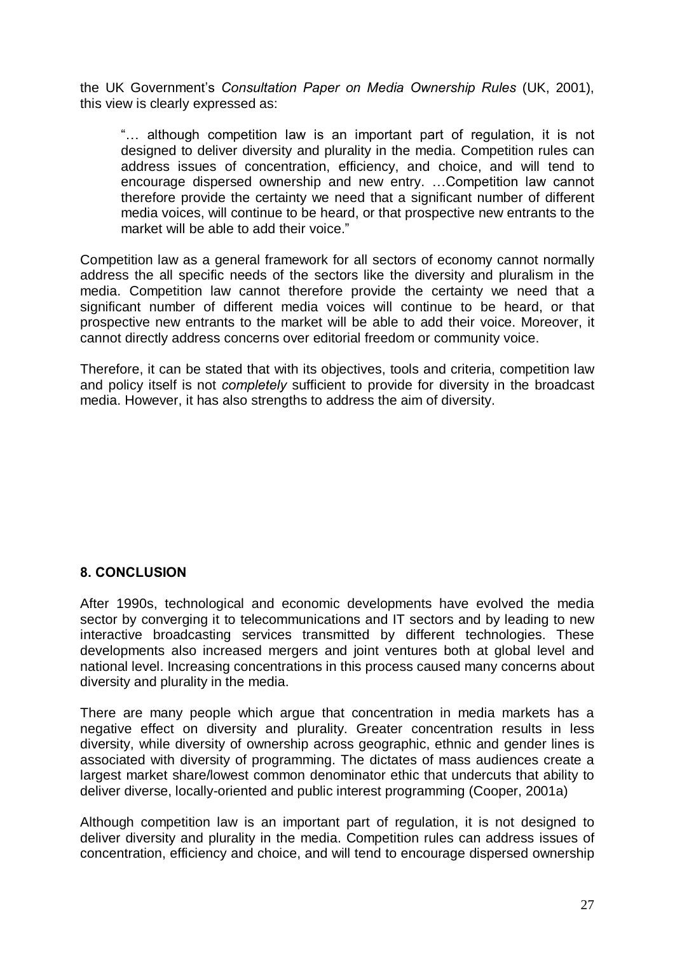the UK Government's Consultation Paper on Media Ownership Rules (UK, 2001), this view is clearly expressed as:

"... although competition law is an important part of regulation, it is not designed to deliver diversity and plurality in the media. Competition rules can address issues of concentration, efficiency, and choice, and will tend to encourage dispersed ownership and new entry. ... Competition law cannot therefore provide the certainty we need that a significant number of different media voices, will continue to be heard, or that prospective new entrants to the market will be able to add their voice."

Competition law as a general framework for all sectors of economy cannot normally address the all specific needs of the sectors like the diversity and pluralism in the media. Competition law cannot therefore provide the certainty we need that a significant number of different media voices will continue to be heard, or that prospective new entrants to the market will be able to add their voice. Moreover, it cannot directly address concerns over editorial freedom or community voice.

Therefore, it can be stated that with its objectives, tools and criteria, competition law and policy itself is not completely sufficient to provide for diversity in the broadcast media. However, it has also strengths to address the aim of diversity.

### 8. CONCLUSION

After 1990s, technological and economic developments have evolved the media sector by converging it to telecommunications and IT sectors and by leading to new interactive broadcasting services transmitted by different technologies. These developments also increased mergers and joint ventures both at global level and national level. Increasing concentrations in this process caused many concerns about diversity and plurality in the media.

There are many people which argue that concentration in media markets has a negative effect on diversity and plurality. Greater concentration results in less diversity, while diversity of ownership across geographic, ethnic and gender lines is associated with diversity of programming. The dictates of mass audiences create a largest market share/lowest common denominator ethic that undercuts that ability to deliver diverse, locally-oriented and public interest programming (Cooper, 2001a)

Although competition law is an important part of regulation, it is not designed to deliver diversity and plurality in the media. Competition rules can address issues of concentration, efficiency and choice, and will tend to encourage dispersed ownership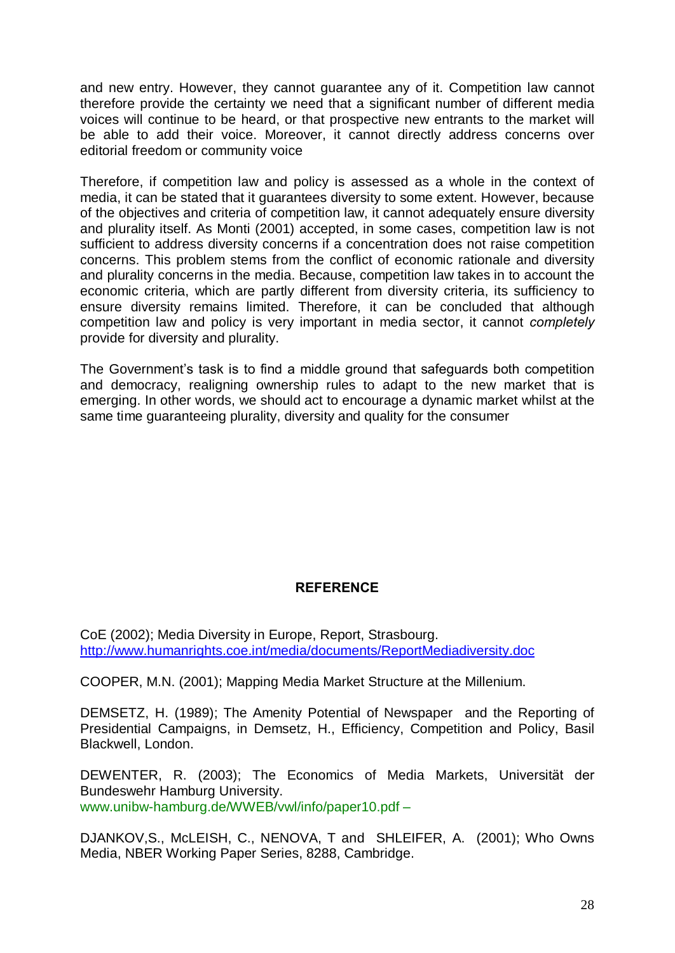and new entry. However, they cannot guarantee any of it. Competition law cannot therefore provide the certainty we need that a significant number of different media voices will continue to be heard, or that prospective new entrants to the market will be able to add their voice. Moreover, it cannot directly address concerns over editorial freedom or community voice

Therefore, if competition law and policy is assessed as a whole in the context of media, it can be stated that it guarantees diversity to some extent. However, because of the objectives and criteria of competition law, it cannot adequately ensure diversity and plurality itself. As Monti (2001) accepted, in some cases, competition law is not sufficient to address diversity concerns if a concentration does not raise competition concerns. This problem stems from the conflict of economic rationale and diversity and plurality concerns in the media. Because, competition law takes in to account the economic criteria, which are partly different from diversity criteria, its sufficiency to ensure diversity remains limited. Therefore, it can be concluded that although competition law and policy is very important in media sector, it cannot completely provide for diversity and plurality.

The Government's task is to find a middle ground that safeguards both competition and democracy, realigning ownership rules to adapt to the new market that is emerging. In other words, we should act to encourage a dynamic market whilst at the same time guaranteeing plurality, diversity and quality for the consumer

### **REFERENCE**

CoE (2002); Media Diversity in Europe, Report, Strasbourg. <http://www.humanrights.coe.int/media/documents/ReportMediadiversity.doc>

COOPER, M.N. (2001); Mapping Media Market Structure at the Millenium.

DEMSETZ, H. (1989); The Amenity Potential of Newspaper and the Reporting of Presidential Campaigns, in Demsetz, H., Efficiency, Competition and Policy, Basil Blackwell, London.

DEWENTER, R. (2003); The Economics of Media Markets, Universität der Bundeswehr Hamburg University. [www.unibw-hamburg.de/WWEB/vwl/info/paper10.pdf](http://www.unibw-hamburg.de/WWEB/vwl/info/paper10.pdf) -

DJANKOV,S., McLEISH, C., NENOVA, T and SHLEIFER, A. (2001); Who Owns Media, NBER Working Paper Series, 8288, Cambridge.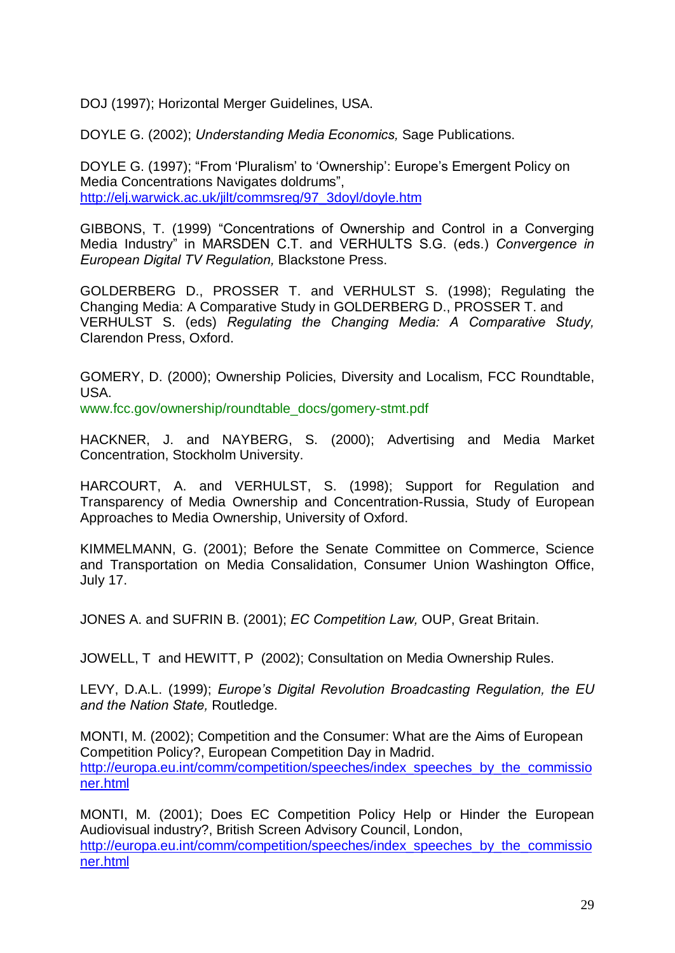DOJ (1997); Horizontal Merger Guidelines, USA.

DOYLE G. (2002); Understanding Media Economics, Sage Publications.

DOYLE G. (1997); "From 'Pluralism' to 'Ownership': Europe's Emergent Policy on Media Concentrations Navigates doldrums". [http://elj.warwick.ac.uk/jilt/commsreg/97\\_3doyl/doyle.htm](http://elj.warwick.ac.uk/jilt/commsreg/97_3doyl/doyle.htm)

GIBBONS, T. (1999) "Concentrations of Ownership and Control in a Converging Media Industryî in MARSDEN C.T. and VERHULTS S.G. (eds.) Convergence in European Digital TV Regulation, Blackstone Press.

GOLDERBERG D., PROSSER T. and VERHULST S. (1998); Regulating the Changing Media: A Comparative Study in GOLDERBERG D., PROSSER T. and VERHULST S. (eds) Regulating the Changing Media: A Comparative Study, Clarendon Press, Oxford.

GOMERY, D. (2000); Ownership Policies, Diversity and Localism, FCC Roundtable, USA.

[www.fcc.gov/ownership/roundtable\\_docs/gomery-stmt.pdf](http://www.fcc.gov/ownership/roundtable_docs/gomery-stmt.pdf)

HACKNER, J. and NAYBERG, S. (2000); Advertising and Media Market Concentration, Stockholm University.

HARCOURT, A. and VERHULST, S. (1998); Support for Regulation and Transparency of Media Ownership and Concentration-Russia, Study of European Approaches to Media Ownership, University of Oxford.

KIMMELMANN, G. (2001); Before the Senate Committee on Commerce, Science and Transportation on Media Consalidation, Consumer Union Washington Office, July 17.

JONES A. and SUFRIN B. (2001); *EC Competition Law*, OUP, Great Britain.

JOWELL, T and HEWITT, P (2002); Consultation on Media Ownership Rules.

LEVY, D.A.L. (1999); Europe's Digital Revolution Broadcasting Regulation, the EU and the Nation State, Routledge.

MONTI, M. (2002); Competition and the Consumer: What are the Aims of European Competition Policy?, European Competition Day in Madrid. [http://europa.eu.int/comm/competition/speeches/index\\_speeches\\_by\\_the\\_commissio](http://europa.eu.int/comm/competition/speeches/index_speeches_by_the_commissio) ner.html

MONTI, M. (2001); Does EC Competition Policy Help or Hinder the European Audiovisual industry?, British Screen Advisory Council, London, [http://europa.eu.int/comm/competition/speeches/index\\_speeches\\_by\\_the\\_commissio](http://europa.eu.int/comm/competition/speeches/index_speeches_by_the_commissio) ner.html